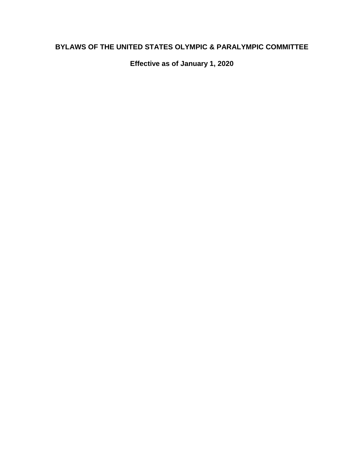# **BYLAWS OF THE UNITED STATES OLYMPIC & PARALYMPIC COMMITTEE**

**Effective as of January 1, 2020**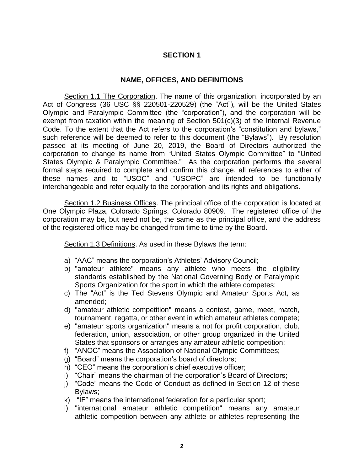### **NAME, OFFICES, AND DEFINITIONS**

Section 1.1 The Corporation. The name of this organization, incorporated by an Act of Congress (36 USC §§ 220501-220529) (the "Act"), will be the United States Olympic and Paralympic Committee (the "corporation"), and the corporation will be exempt from taxation within the meaning of Section 501(c)(3) of the Internal Revenue Code. To the extent that the Act refers to the corporation's "constitution and bylaws," such reference will be deemed to refer to this document (the "Bylaws"). By resolution passed at its meeting of June 20, 2019, the Board of Directors authorized the corporation to change its name from "United States Olympic Committee" to "United States Olympic & Paralympic Committee." As the corporation performs the several formal steps required to complete and confirm this change, all references to either of these names and to "USOC" and "USOPC" are intended to be functionally interchangeable and refer equally to the corporation and its rights and obligations.

Section 1.2 Business Offices. The principal office of the corporation is located at One Olympic Plaza, Colorado Springs, Colorado 80909. The registered office of the corporation may be, but need not be, the same as the principal office, and the address of the registered office may be changed from time to time by the Board.

Section 1.3 Definitions. As used in these Bylaws the term:

- a) "AAC" means the corporation's Athletes' Advisory Council;
- b) "amateur athlete" means any athlete who meets the eligibility standards established by the National Governing Body or Paralympic Sports Organization for the sport in which the athlete competes;
- c) The "Act" is the Ted Stevens Olympic and Amateur Sports Act, as amended;
- d) "amateur athletic competition" means a contest, game, meet, match, tournament, regatta, or other event in which amateur athletes compete;
- e) "amateur sports organization" means a not for profit corporation, club, federation, union, association, or other group organized in the United States that sponsors or arranges any amateur athletic competition;
- f) "ANOC" means the Association of National Olympic Committees;
- g) "Board" means the corporation's board of directors;
- h) "CEO" means the corporation's chief executive officer;
- i) "Chair" means the chairman of the corporation's Board of Directors;
- j) "Code" means the Code of Conduct as defined in Section 12 of these Bylaws;
- k) "IF" means the international federation for a particular sport;
- l) "international amateur athletic competition" means any amateur athletic competition between any athlete or athletes representing the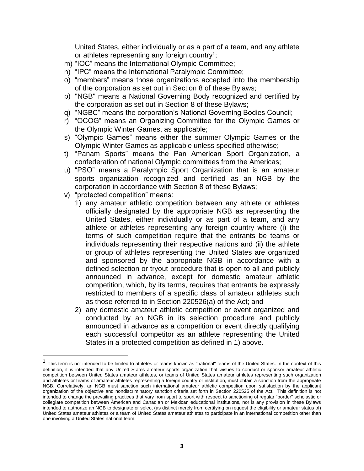United States, either individually or as a part of a team, and any athlete or athletes representing any foreign country<sup>1</sup>;

- m) "IOC" means the International Olympic Committee;
- n) "IPC" means the International Paralympic Committee;
- o) "members" means those organizations accepted into the membership of the corporation as set out in Section 8 of these Bylaws;
- p) "NGB" means a National Governing Body recognized and certified by the corporation as set out in Section 8 of these Bylaws;
- q) "NGBC" means the corporation's National Governing Bodies Council;
- r) "OCOG" means an Organizing Committee for the Olympic Games or the Olympic Winter Games, as applicable;
- s) "Olympic Games" means either the summer Olympic Games or the Olympic Winter Games as applicable unless specified otherwise;
- t) "Panam Sports" means the Pan American Sport Organization, a confederation of national Olympic committees from the Americas;
- u) "PSO" means a Paralympic Sport Organization that is an amateur sports organization recognized and certified as an NGB by the corporation in accordance with Section 8 of these Bylaws;
- v) "protected competition" means:

 $\overline{a}$ 

- 1) any amateur athletic competition between any athlete or athletes officially designated by the appropriate NGB as representing the United States, either individually or as part of a team, and any athlete or athletes representing any foreign country where (i) the terms of such competition require that the entrants be teams or individuals representing their respective nations and (ii) the athlete or group of athletes representing the United States are organized and sponsored by the appropriate NGB in accordance with a defined selection or tryout procedure that is open to all and publicly announced in advance, except for domestic amateur athletic competition, which, by its terms, requires that entrants be expressly restricted to members of a specific class of amateur athletes such as those referred to in Section 220526(a) of the Act; and
- 2) any domestic amateur athletic competition or event organized and conducted by an NGB in its selection procedure and publicly announced in advance as a competition or event directly qualifying each successful competitor as an athlete representing the United States in a protected competition as defined in 1) above.

<sup>&</sup>lt;sup>1</sup> This term is not intended to be limited to athletes or teams known as "national" teams of the United States. In the context of this definition, it is intended that any United States amateur sports organization that wishes to conduct or sponsor amateur athletic competition between United States amateur athletes, or teams of United States amateur athletes representing such organization and athletes or teams of amateur athletes representing a foreign country or institution, must obtain a sanction from the appropriate NGB. Correlatively, an NGB must sanction such international amateur athletic competition upon satisfaction by the applicant organization of the objective and nondiscriminatory sanction criteria set forth in Section 220525 of the Act. This definition is not intended to change the prevailing practices that vary from sport to sport with respect to sanctioning of regular "border" scholastic or collegiate competition between American and Canadian or Mexican educational institutions, nor is any provision in these Bylaws intended to authorize an NGB to designate or select (as distinct merely from certifying on request the eligibility or amateur status of) United States amateur athletes or a team of United States amateur athletes to participate in an international competition other than one involving a United States national team.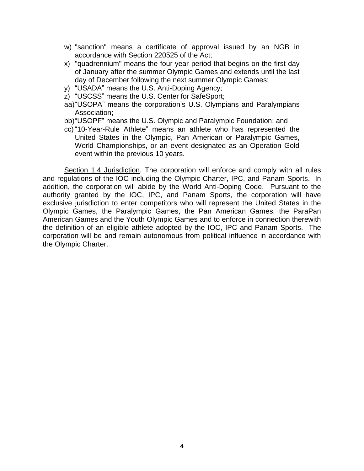- w) "sanction" means a certificate of approval issued by an NGB in accordance with Section 220525 of the Act;
- x) "quadrennium" means the four year period that begins on the first day of January after the summer Olympic Games and extends until the last day of December following the next summer Olympic Games;
- y) "USADA" means the U.S. Anti-Doping Agency;
- z) "USCSS" means the U.S. Center for SafeSport;
- aa)"USOPA" means the corporation's U.S. Olympians and Paralympians Association;
- bb)"USOPF" means the U.S. Olympic and Paralympic Foundation; and
- cc) "10-Year-Rule Athlete" means an athlete who has represented the United States in the Olympic, Pan American or Paralympic Games, World Championships, or an event designated as an Operation Gold event within the previous 10 years.

Section 1.4 Jurisdiction. The corporation will enforce and comply with all rules and regulations of the IOC including the Olympic Charter, IPC, and Panam Sports. In addition, the corporation will abide by the World Anti-Doping Code. Pursuant to the authority granted by the IOC, IPC, and Panam Sports, the corporation will have exclusive jurisdiction to enter competitors who will represent the United States in the Olympic Games, the Paralympic Games, the Pan American Games, the ParaPan American Games and the Youth Olympic Games and to enforce in connection therewith the definition of an eligible athlete adopted by the IOC, IPC and Panam Sports. The corporation will be and remain autonomous from political influence in accordance with the Olympic Charter.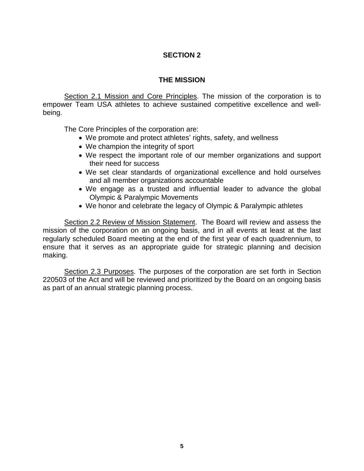### **THE MISSION**

Section 2.1 Mission and Core Principles. The mission of the corporation is to empower Team USA athletes to achieve sustained competitive excellence and wellbeing.

The Core Principles of the corporation are:

- We promote and protect athletes' rights, safety, and wellness
- We champion the integrity of sport
- We respect the important role of our member organizations and support their need for success
- We set clear standards of organizational excellence and hold ourselves and all member organizations accountable
- We engage as a trusted and influential leader to advance the global Olympic & Paralympic Movements
- We honor and celebrate the legacy of Olympic & Paralympic athletes

Section 2.2 Review of Mission Statement. The Board will review and assess the mission of the corporation on an ongoing basis, and in all events at least at the last regularly scheduled Board meeting at the end of the first year of each quadrennium, to ensure that it serves as an appropriate guide for strategic planning and decision making.

Section 2.3 Purposes. The purposes of the corporation are set forth in Section 220503 of the Act and will be reviewed and prioritized by the Board on an ongoing basis as part of an annual strategic planning process.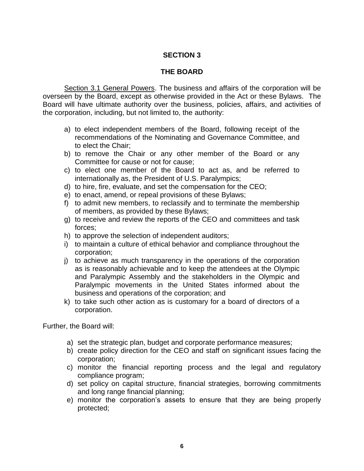### **THE BOARD**

Section 3.1 General Powers. The business and affairs of the corporation will be overseen by the Board, except as otherwise provided in the Act or these Bylaws. The Board will have ultimate authority over the business, policies, affairs, and activities of the corporation, including, but not limited to, the authority:

- a) to elect independent members of the Board, following receipt of the recommendations of the Nominating and Governance Committee, and to elect the Chair;
- b) to remove the Chair or any other member of the Board or any Committee for cause or not for cause;
- c) to elect one member of the Board to act as, and be referred to internationally as, the President of U.S. Paralympics;
- d) to hire, fire, evaluate, and set the compensation for the CEO;
- e) to enact, amend, or repeal provisions of these Bylaws;
- f) to admit new members, to reclassify and to terminate the membership of members, as provided by these Bylaws;
- g) to receive and review the reports of the CEO and committees and task forces;
- h) to approve the selection of independent auditors;
- i) to maintain a culture of ethical behavior and compliance throughout the corporation;
- j) to achieve as much transparency in the operations of the corporation as is reasonably achievable and to keep the attendees at the Olympic and Paralympic Assembly and the stakeholders in the Olympic and Paralympic movements in the United States informed about the business and operations of the corporation; and
- k) to take such other action as is customary for a board of directors of a corporation.

Further, the Board will:

- a) set the strategic plan, budget and corporate performance measures;
- b) create policy direction for the CEO and staff on significant issues facing the corporation;
- c) monitor the financial reporting process and the legal and regulatory compliance program;
- d) set policy on capital structure, financial strategies, borrowing commitments and long range financial planning;
- e) monitor the corporation's assets to ensure that they are being properly protected;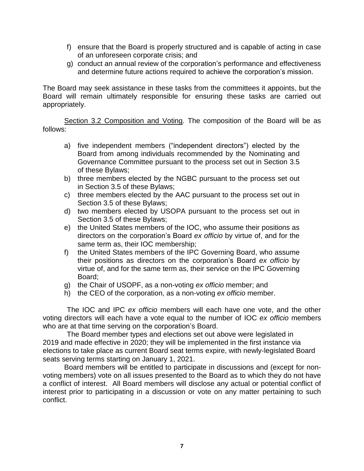- f) ensure that the Board is properly structured and is capable of acting in case of an unforeseen corporate crisis; and
- g) conduct an annual review of the corporation's performance and effectiveness and determine future actions required to achieve the corporation's mission.

The Board may seek assistance in these tasks from the committees it appoints, but the Board will remain ultimately responsible for ensuring these tasks are carried out appropriately.

Section 3.2 Composition and Voting. The composition of the Board will be as follows:

- a) five independent members ("independent directors") elected by the Board from among individuals recommended by the Nominating and Governance Committee pursuant to the process set out in Section 3.5 of these Bylaws;
- b) three members elected by the NGBC pursuant to the process set out in Section 3.5 of these Bylaws;
- c) three members elected by the AAC pursuant to the process set out in Section 3.5 of these Bylaws;
- d) two members elected by USOPA pursuant to the process set out in Section 3.5 of these Bylaws;
- e) the United States members of the IOC, who assume their positions as directors on the corporation's Board *ex officio* by virtue of, and for the same term as, their IOC membership;
- f) the United States members of the IPC Governing Board, who assume their positions as directors on the corporation's Board *ex officio* by virtue of, and for the same term as, their service on the IPC Governing Board;
- g) the Chair of USOPF, as a non-voting *ex officio* member; and
- h) the CEO of the corporation, as a non-voting *ex officio* member.

The IOC and IPC *ex officio* members will each have one vote, and the other voting directors will each have a vote equal to the number of IOC *ex officio* members who are at that time serving on the corporation's Board.

The Board member types and elections set out above were legislated in 2019 and made effective in 2020; they will be implemented in the first instance via elections to take place as current Board seat terms expire, with newly-legislated Board seats serving terms starting on January 1, 2021.

Board members will be entitled to participate in discussions and (except for nonvoting members) vote on all issues presented to the Board as to which they do not have a conflict of interest. All Board members will disclose any actual or potential conflict of interest prior to participating in a discussion or vote on any matter pertaining to such conflict.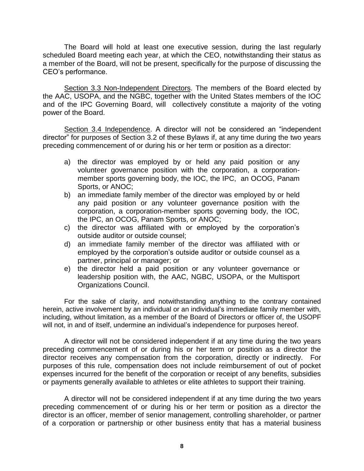The Board will hold at least one executive session, during the last regularly scheduled Board meeting each year, at which the CEO, notwithstanding their status as a member of the Board, will not be present, specifically for the purpose of discussing the CEO's performance.

Section 3.3 Non-Independent Directors. The members of the Board elected by the AAC, USOPA, and the NGBC, together with the United States members of the IOC and of the IPC Governing Board, will collectively constitute a majority of the voting power of the Board.

Section 3.4 Independence. A director will not be considered an "independent director" for purposes of Section 3.2 of these Bylaws if, at any time during the two years preceding commencement of or during his or her term or position as a director:

- a) the director was employed by or held any paid position or any volunteer governance position with the corporation, a corporationmember sports governing body, the IOC, the IPC, an OCOG, Panam Sports, or ANOC;
- b) an immediate family member of the director was employed by or held any paid position or any volunteer governance position with the corporation, a corporation-member sports governing body, the IOC, the IPC, an OCOG, Panam Sports, or ANOC;
- c) the director was affiliated with or employed by the corporation's outside auditor or outside counsel;
- d) an immediate family member of the director was affiliated with or employed by the corporation's outside auditor or outside counsel as a partner, principal or manager; or
- e) the director held a paid position or any volunteer governance or leadership position with, the AAC, NGBC, USOPA, or the Multisport Organizations Council.

For the sake of clarity, and notwithstanding anything to the contrary contained herein, active involvement by an individual or an individual's immediate family member with, including, without limitation, as a member of the Board of Directors or officer of, the USOPF will not, in and of itself, undermine an individual's independence for purposes hereof.

A director will not be considered independent if at any time during the two years preceding commencement of or during his or her term or position as a director the director receives any compensation from the corporation, directly or indirectly. For purposes of this rule, compensation does not include reimbursement of out of pocket expenses incurred for the benefit of the corporation or receipt of any benefits, subsidies or payments generally available to athletes or elite athletes to support their training.

A director will not be considered independent if at any time during the two years preceding commencement of or during his or her term or position as a director the director is an officer, member of senior management, controlling shareholder, or partner of a corporation or partnership or other business entity that has a material business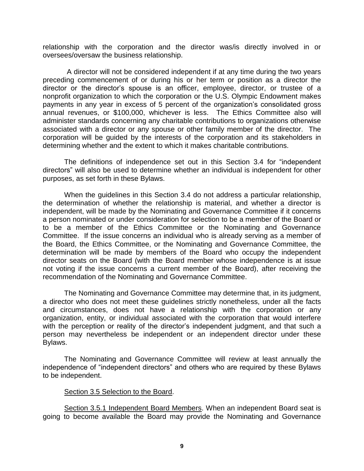relationship with the corporation and the director was/is directly involved in or oversees/oversaw the business relationship.

A director will not be considered independent if at any time during the two years preceding commencement of or during his or her term or position as a director the director or the director's spouse is an officer, employee, director, or trustee of a nonprofit organization to which the corporation or the U.S. Olympic Endowment makes payments in any year in excess of 5 percent of the organization's consolidated gross annual revenues, or \$100,000, whichever is less. The Ethics Committee also will administer standards concerning any charitable contributions to organizations otherwise associated with a director or any spouse or other family member of the director. The corporation will be guided by the interests of the corporation and its stakeholders in determining whether and the extent to which it makes charitable contributions.

The definitions of independence set out in this Section 3.4 for "independent directors" will also be used to determine whether an individual is independent for other purposes, as set forth in these Bylaws.

When the guidelines in this Section 3.4 do not address a particular relationship, the determination of whether the relationship is material, and whether a director is independent, will be made by the Nominating and Governance Committee if it concerns a person nominated or under consideration for selection to be a member of the Board or to be a member of the Ethics Committee or the Nominating and Governance Committee. If the issue concerns an individual who is already serving as a member of the Board, the Ethics Committee, or the Nominating and Governance Committee, the determination will be made by members of the Board who occupy the independent director seats on the Board (with the Board member whose independence is at issue not voting if the issue concerns a current member of the Board), after receiving the recommendation of the Nominating and Governance Committee.

The Nominating and Governance Committee may determine that, in its judgment, a director who does not meet these guidelines strictly nonetheless, under all the facts and circumstances, does not have a relationship with the corporation or any organization, entity, or individual associated with the corporation that would interfere with the perception or reality of the director's independent judgment, and that such a person may nevertheless be independent or an independent director under these Bylaws.

The Nominating and Governance Committee will review at least annually the independence of "independent directors" and others who are required by these Bylaws to be independent.

#### Section 3.5 Selection to the Board.

Section 3.5.1 Independent Board Members. When an independent Board seat is going to become available the Board may provide the Nominating and Governance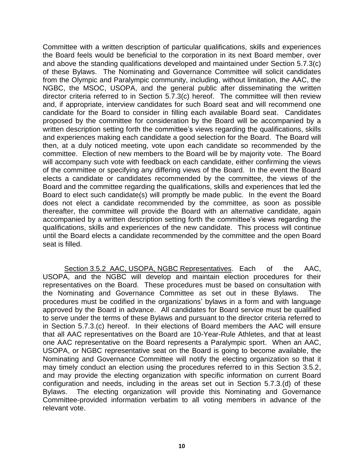Committee with a written description of particular qualifications, skills and experiences the Board feels would be beneficial to the corporation in its next Board member, over and above the standing qualifications developed and maintained under Section 5.7.3(c) of these Bylaws. The Nominating and Governance Committee will solicit candidates from the Olympic and Paralympic community, including, without limitation, the AAC, the NGBC, the MSOC, USOPA, and the general public after disseminating the written director criteria referred to in Section 5.7.3(c) hereof. The committee will then review and, if appropriate, interview candidates for such Board seat and will recommend one candidate for the Board to consider in filling each available Board seat. Candidates proposed by the committee for consideration by the Board will be accompanied by a written description setting forth the committee's views regarding the qualifications, skills and experiences making each candidate a good selection for the Board. The Board will then, at a duly noticed meeting, vote upon each candidate so recommended by the committee. Election of new members to the Board will be by majority vote. The Board will accompany such vote with feedback on each candidate, either confirming the views of the committee or specifying any differing views of the Board. In the event the Board elects a candidate or candidates recommended by the committee, the views of the Board and the committee regarding the qualifications, skills and experiences that led the Board to elect such candidate(s) will promptly be made public. In the event the Board does not elect a candidate recommended by the committee, as soon as possible thereafter, the committee will provide the Board with an alternative candidate, again accompanied by a written description setting forth the committee's views regarding the qualifications, skills and experiences of the new candidate. This process will continue until the Board elects a candidate recommended by the committee and the open Board seat is filled.

Section 3.5.2 AAC, USOPA, NGBC Representatives. Each of the AAC, USOPA, and the NGBC will develop and maintain election procedures for their representatives on the Board. These procedures must be based on consultation with the Nominating and Governance Committee as set out in these Bylaws. The procedures must be codified in the organizations' bylaws in a form and with language approved by the Board in advance. All candidates for Board service must be qualified to serve under the terms of these Bylaws and pursuant to the director criteria referred to in Section 5.7.3.(c) hereof. In their elections of Board members the AAC will ensure that all AAC representatives on the Board are 10-Year-Rule Athletes, and that at least one AAC representative on the Board represents a Paralympic sport. When an AAC, USOPA, or NGBC representative seat on the Board is going to become available, the Nominating and Governance Committee will notify the electing organization so that it may timely conduct an election using the procedures referred to in this Section 3.5.2, and may provide the electing organization with specific information on current Board configuration and needs, including in the areas set out in Section 5.7.3.(d) of these Bylaws. The electing organization will provide this Nominating and Governance Committee-provided information verbatim to all voting members in advance of the relevant vote.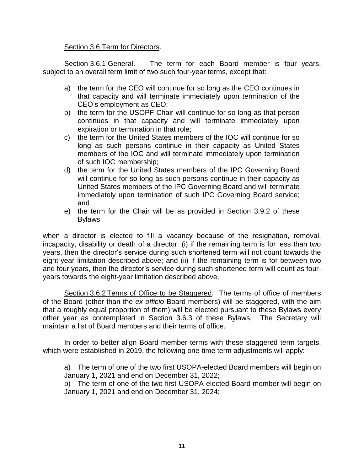### Section 3.6 Term for Directors.

Section 3.6.1 General. The term for each Board member is four years, subject to an overall term limit of two such four-year terms, except that:

- a) the term for the CEO will continue for so long as the CEO continues in that capacity and will terminate immediately upon termination of the CEO's employment as CEO;
- b) the term for the USOPF Chair will continue for so long as that person continues in that capacity and will terminate immediately upon expiration or termination in that role;
- c) the term for the United States members of the IOC will continue for so long as such persons continue in their capacity as United States members of the IOC and will terminate immediately upon termination of such IOC membership;
- d) the term for the United States members of the IPC Governing Board will continue for so long as such persons continue in their capacity as United States members of the IPC Governing Board and will terminate immediately upon termination of such IPC Governing Board service; and
- e) the term for the Chair will be as provided in Section 3.9.2 of these Bylaws

when a director is elected to fill a vacancy because of the resignation, removal, incapacity, disability or death of a director, (i) if the remaining term is for less than two years, then the director's service during such shortened term will not count towards the eight-year limitation described above; and (ii) if the remaining term is for between two and four years, then the director's service during such shortened term will count as fouryears towards the eight-year limitation described above.

Section 3.6.2 Terms of Office to be Staggered. The terms of office of members of the Board (other than the *ex officio* Board members) will be staggered, with the aim that a roughly equal proportion of them) will be elected pursuant to these Bylaws every other year as contemplated in Section 3.6.3 of these Bylaws. The Secretary will maintain a list of Board members and their terms of office.

In order to better align Board member terms with these staggered term targets, which were established in 2019, the following one-time term adjustments will apply:

a) The term of one of the two first USOPA-elected Board members will begin on January 1, 2021 and end on December 31, 2022;

b) The term of one of the two first USOPA-elected Board member will begin on January 1, 2021 and end on December 31, 2024;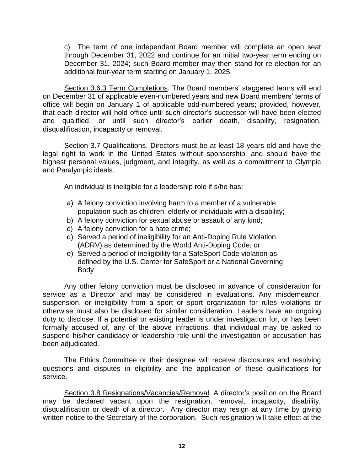c) The term of one independent Board member will complete an open seat through December 31, 2022 and continue for an initial two-year term ending on December 31, 2024; such Board member may then stand for re-election for an additional four-year term starting on January 1, 2025.

Section 3.6.3 Term Completions. The Board members' staggered terms will end on December 31 of applicable even-numbered years and new Board members' terms of office will begin on January 1 of applicable odd-numbered years; provided, however, that each director will hold office until such director's successor will have been elected and qualified, or until such director's earlier death, disability, resignation, disqualification, incapacity or removal.

Section 3.7 Qualifications. Directors must be at least 18 years old and have the legal right to work in the United States without sponsorship, and should have the highest personal values, judgment, and integrity, as well as a commitment to Olympic and Paralympic ideals.

An individual is ineligible for a leadership role if s/he has:

- a) A felony conviction involving harm to a member of a vulnerable population such as children, elderly or individuals with a disability;
- b) A felony conviction for sexual abuse or assault of any kind;
- c) A felony conviction for a hate crime;
- d) Served a period of ineligibility for an Anti-Doping Rule Violation (ADRV) as determined by the World Anti-Doping Code; or
- e) Served a period of ineligibility for a SafeSport Code violation as defined by the U.S. Center for SafeSport or a National Governing Body

Any other felony conviction must be disclosed in advance of consideration for service as a Director and may be considered in evaluations. Any misdemeanor, suspension, or ineligibility from a sport or sport organization for rules violations or otherwise must also be disclosed for similar consideration. Leaders have an ongoing duty to disclose. If a potential or existing leader is under investigation for, or has been formally accused of, any of the above infractions, that individual may be asked to suspend his/her candidacy or leadership role until the investigation or accusation has been adjudicated.

The Ethics Committee or their designee will receive disclosures and resolving questions and disputes in eligibility and the application of these qualifications for service.

Section 3.8 Resignations/Vacancies/Removal. A director's position on the Board may be declared vacant upon the resignation, removal, incapacity, disability, disqualification or death of a director. Any director may resign at any time by giving written notice to the Secretary of the corporation. Such resignation will take effect at the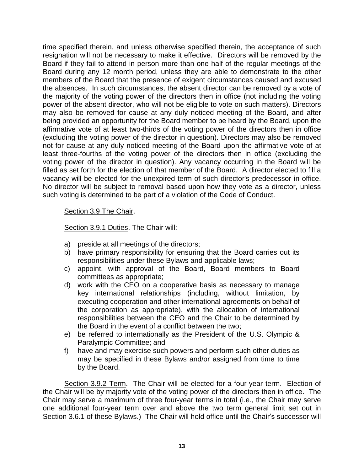time specified therein, and unless otherwise specified therein, the acceptance of such resignation will not be necessary to make it effective. Directors will be removed by the Board if they fail to attend in person more than one half of the regular meetings of the Board during any 12 month period, unless they are able to demonstrate to the other members of the Board that the presence of exigent circumstances caused and excused the absences. In such circumstances, the absent director can be removed by a vote of the majority of the voting power of the directors then in office (not including the voting power of the absent director, who will not be eligible to vote on such matters). Directors may also be removed for cause at any duly noticed meeting of the Board, and after being provided an opportunity for the Board member to be heard by the Board, upon the affirmative vote of at least two-thirds of the voting power of the directors then in office (excluding the voting power of the director in question). Directors may also be removed not for cause at any duly noticed meeting of the Board upon the affirmative vote of at least three-fourths of the voting power of the directors then in office (excluding the voting power of the director in question). Any vacancy occurring in the Board will be filled as set forth for the election of that member of the Board. A director elected to fill a vacancy will be elected for the unexpired term of such director's predecessor in office. No director will be subject to removal based upon how they vote as a director, unless such voting is determined to be part of a violation of the Code of Conduct.

#### Section 3.9 The Chair.

Section 3.9.1 Duties. The Chair will:

- a) preside at all meetings of the directors;
- b) have primary responsibility for ensuring that the Board carries out its responsibilities under these Bylaws and applicable laws;
- c) appoint, with approval of the Board, Board members to Board committees as appropriate;
- d) work with the CEO on a cooperative basis as necessary to manage key international relationships (including, without limitation, by executing cooperation and other international agreements on behalf of the corporation as appropriate), with the allocation of international responsibilities between the CEO and the Chair to be determined by the Board in the event of a conflict between the two;
- e) be referred to internationally as the President of the U.S. Olympic & Paralympic Committee; and
- f) have and may exercise such powers and perform such other duties as may be specified in these Bylaws and/or assigned from time to time by the Board.

Section 3.9.2 Term. The Chair will be elected for a four-year term. Election of the Chair will be by majority vote of the voting power of the directors then in office. The Chair may serve a maximum of three four-year terms in total (i.e., the Chair may serve one additional four-year term over and above the two term general limit set out in Section 3.6.1 of these Bylaws.) The Chair will hold office until the Chair's successor will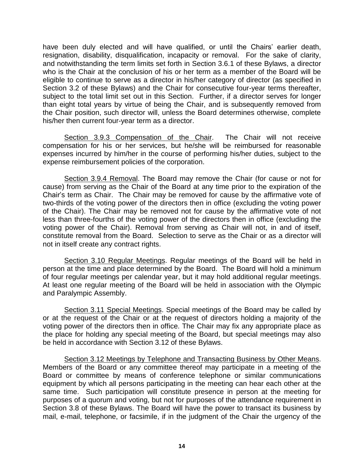have been duly elected and will have qualified, or until the Chairs' earlier death, resignation, disability, disqualification, incapacity or removal. For the sake of clarity, and notwithstanding the term limits set forth in Section 3.6.1 of these Bylaws, a director who is the Chair at the conclusion of his or her term as a member of the Board will be eligible to continue to serve as a director in his/her category of director (as specified in Section 3.2 of these Bylaws) and the Chair for consecutive four-year terms thereafter, subject to the total limit set out in this Section. Further, if a director serves for longer than eight total years by virtue of being the Chair, and is subsequently removed from the Chair position, such director will, unless the Board determines otherwise, complete his/her then current four-year term as a director.

Section 3.9.3 Compensation of the Chair. The Chair will not receive compensation for his or her services, but he/she will be reimbursed for reasonable expenses incurred by him/her in the course of performing his/her duties, subject to the expense reimbursement policies of the corporation.

Section 3.9.4 Removal. The Board may remove the Chair (for cause or not for cause) from serving as the Chair of the Board at any time prior to the expiration of the Chair's term as Chair. The Chair may be removed for cause by the affirmative vote of two-thirds of the voting power of the directors then in office (excluding the voting power of the Chair). The Chair may be removed not for cause by the affirmative vote of not less than three-fourths of the voting power of the directors then in office (excluding the voting power of the Chair). Removal from serving as Chair will not, in and of itself, constitute removal from the Board. Selection to serve as the Chair or as a director will not in itself create any contract rights.

Section 3.10 Regular Meetings. Regular meetings of the Board will be held in person at the time and place determined by the Board. The Board will hold a minimum of four regular meetings per calendar year, but it may hold additional regular meetings. At least one regular meeting of the Board will be held in association with the Olympic and Paralympic Assembly.

Section 3.11 Special Meetings. Special meetings of the Board may be called by or at the request of the Chair or at the request of directors holding a majority of the voting power of the directors then in office. The Chair may fix any appropriate place as the place for holding any special meeting of the Board, but special meetings may also be held in accordance with Section 3.12 of these Bylaws.

Section 3.12 Meetings by Telephone and Transacting Business by Other Means. Members of the Board or any committee thereof may participate in a meeting of the Board or committee by means of conference telephone or similar communications equipment by which all persons participating in the meeting can hear each other at the same time. Such participation will constitute presence in person at the meeting for purposes of a quorum and voting, but not for purposes of the attendance requirement in Section 3.8 of these Bylaws. The Board will have the power to transact its business by mail, e-mail, telephone, or facsimile, if in the judgment of the Chair the urgency of the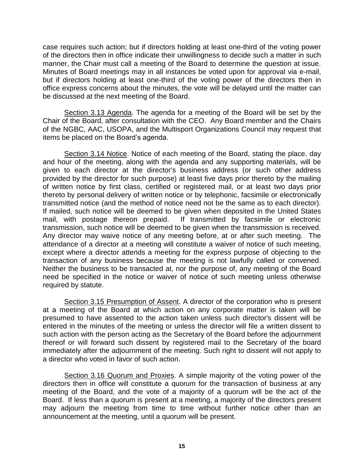case requires such action; but if directors holding at least one-third of the voting power of the directors then in office indicate their unwillingness to decide such a matter in such manner, the Chair must call a meeting of the Board to determine the question at issue. Minutes of Board meetings may in all instances be voted upon for approval via e-mail, but if directors holding at least one-third of the voting power of the directors then in office express concerns about the minutes, the vote will be delayed until the matter can be discussed at the next meeting of the Board.

Section 3.13 Agenda. The agenda for a meeting of the Board will be set by the Chair of the Board, after consultation with the CEO. Any Board member and the Chairs of the NGBC, AAC, USOPA, and the Multisport Organizations Council may request that items be placed on the Board's agenda.

Section 3.14 Notice. Notice of each meeting of the Board, stating the place, day and hour of the meeting, along with the agenda and any supporting materials, will be given to each director at the director's business address (or such other address provided by the director for such purpose) at least five days prior thereto by the mailing of written notice by first class, certified or registered mail, or at least two days prior thereto by personal delivery of written notice or by telephonic, facsimile or electronically transmitted notice (and the method of notice need not be the same as to each director). If mailed, such notice will be deemed to be given when deposited in the United States mail, with postage thereon prepaid. If transmitted by facsimile or electronic transmission, such notice will be deemed to be given when the transmission is received. Any director may waive notice of any meeting before, at or after such meeting. The attendance of a director at a meeting will constitute a waiver of notice of such meeting, except where a director attends a meeting for the express purpose of objecting to the transaction of any business because the meeting is not lawfully called or convened. Neither the business to be transacted at, nor the purpose of, any meeting of the Board need be specified in the notice or waiver of notice of such meeting unless otherwise required by statute.

Section 3.15 Presumption of Assent. A director of the corporation who is present at a meeting of the Board at which action on any corporate matter is taken will be presumed to have assented to the action taken unless such director's dissent will be entered in the minutes of the meeting or unless the director will file a written dissent to such action with the person acting as the Secretary of the Board before the adjournment thereof or will forward such dissent by registered mail to the Secretary of the board immediately after the adjournment of the meeting. Such right to dissent will not apply to a director who voted in favor of such action.

Section 3.16 Quorum and Proxies. A simple majority of the voting power of the directors then in office will constitute a quorum for the transaction of business at any meeting of the Board, and the vote of a majority of a quorum will be the act of the Board. If less than a quorum is present at a meeting, a majority of the directors present may adjourn the meeting from time to time without further notice other than an announcement at the meeting, until a quorum will be present.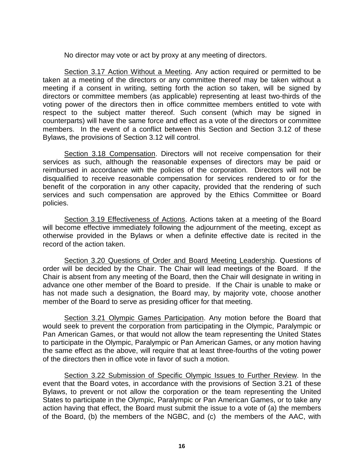No director may vote or act by proxy at any meeting of directors.

Section 3.17 Action Without a Meeting. Any action required or permitted to be taken at a meeting of the directors or any committee thereof may be taken without a meeting if a consent in writing, setting forth the action so taken, will be signed by directors or committee members (as applicable) representing at least two-thirds of the voting power of the directors then in office committee members entitled to vote with respect to the subject matter thereof. Such consent (which may be signed in counterparts) will have the same force and effect as a vote of the directors or committee members. In the event of a conflict between this Section and Section 3.12 of these Bylaws, the provisions of Section 3.12 will control.

Section 3.18 Compensation. Directors will not receive compensation for their services as such, although the reasonable expenses of directors may be paid or reimbursed in accordance with the policies of the corporation. Directors will not be disqualified to receive reasonable compensation for services rendered to or for the benefit of the corporation in any other capacity, provided that the rendering of such services and such compensation are approved by the Ethics Committee or Board policies.

Section 3.19 Effectiveness of Actions. Actions taken at a meeting of the Board will become effective immediately following the adjournment of the meeting, except as otherwise provided in the Bylaws or when a definite effective date is recited in the record of the action taken.

Section 3.20 Questions of Order and Board Meeting Leadership. Questions of order will be decided by the Chair. The Chair will lead meetings of the Board. If the Chair is absent from any meeting of the Board, then the Chair will designate in writing in advance one other member of the Board to preside. If the Chair is unable to make or has not made such a designation, the Board may, by majority vote, choose another member of the Board to serve as presiding officer for that meeting.

Section 3.21 Olympic Games Participation. Any motion before the Board that would seek to prevent the corporation from participating in the Olympic, Paralympic or Pan American Games, or that would not allow the team representing the United States to participate in the Olympic, Paralympic or Pan American Games, or any motion having the same effect as the above, will require that at least three-fourths of the voting power of the directors then in office vote in favor of such a motion.

Section 3.22 Submission of Specific Olympic Issues to Further Review. In the event that the Board votes, in accordance with the provisions of Section 3.21 of these Bylaws, to prevent or not allow the corporation or the team representing the United States to participate in the Olympic, Paralympic or Pan American Games, or to take any action having that effect, the Board must submit the issue to a vote of (a) the members of the Board, (b) the members of the NGBC, and (c) the members of the AAC, with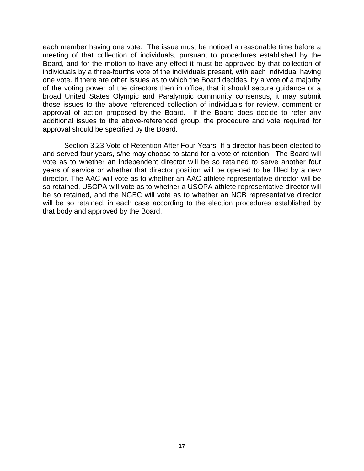each member having one vote. The issue must be noticed a reasonable time before a meeting of that collection of individuals, pursuant to procedures established by the Board, and for the motion to have any effect it must be approved by that collection of individuals by a three-fourths vote of the individuals present, with each individual having one vote. If there are other issues as to which the Board decides, by a vote of a majority of the voting power of the directors then in office, that it should secure guidance or a broad United States Olympic and Paralympic community consensus, it may submit those issues to the above-referenced collection of individuals for review, comment or approval of action proposed by the Board. If the Board does decide to refer any additional issues to the above-referenced group, the procedure and vote required for approval should be specified by the Board.

Section 3.23 Vote of Retention After Four Years. If a director has been elected to and served four years, s/he may choose to stand for a vote of retention. The Board will vote as to whether an independent director will be so retained to serve another four years of service or whether that director position will be opened to be filled by a new director. The AAC will vote as to whether an AAC athlete representative director will be so retained, USOPA will vote as to whether a USOPA athlete representative director will be so retained, and the NGBC will vote as to whether an NGB representative director will be so retained, in each case according to the election procedures established by that body and approved by the Board.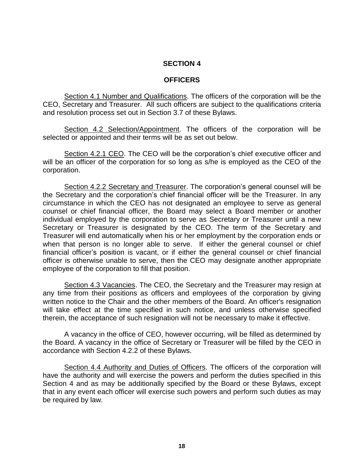#### **OFFICERS**

Section 4.1 Number and Qualifications. The officers of the corporation will be the CEO, Secretary and Treasurer. All such officers are subject to the qualifications criteria and resolution process set out in Section 3.7 of these Bylaws.

Section 4.2 Selection/Appointment. The officers of the corporation will be selected or appointed and their terms will be as set out below.

Section 4.2.1 CEO. The CEO will be the corporation's chief executive officer and will be an officer of the corporation for so long as s/he is employed as the CEO of the corporation.

Section 4.2.2 Secretary and Treasurer. The corporation's general counsel will be the Secretary and the corporation's chief financial officer will be the Treasurer. In any circumstance in which the CEO has not designated an employee to serve as general counsel or chief financial officer, the Board may select a Board member or another individual employed by the corporation to serve as Secretary or Treasurer until a new Secretary or Treasurer is designated by the CEO. The term of the Secretary and Treasurer will end automatically when his or her employment by the corporation ends or when that person is no longer able to serve. If either the general counsel or chief financial officer's position is vacant, or if either the general counsel or chief financial officer is otherwise unable to serve, then the CEO may designate another appropriate employee of the corporation to fill that position.

Section 4.3 Vacancies. The CEO, the Secretary and the Treasurer may resign at any time from their positions as officers and employees of the corporation by giving written notice to the Chair and the other members of the Board. An officer's resignation will take effect at the time specified in such notice, and unless otherwise specified therein, the acceptance of such resignation will not be necessary to make it effective.

A vacancy in the office of CEO, however occurring, will be filled as determined by the Board. A vacancy in the office of Secretary or Treasurer will be filled by the CEO in accordance with Section 4.2.2 of these Bylaws.

Section 4.4 Authority and Duties of Officers. The officers of the corporation will have the authority and will exercise the powers and perform the duties specified in this Section 4 and as may be additionally specified by the Board or these Bylaws, except that in any event each officer will exercise such powers and perform such duties as may be required by law.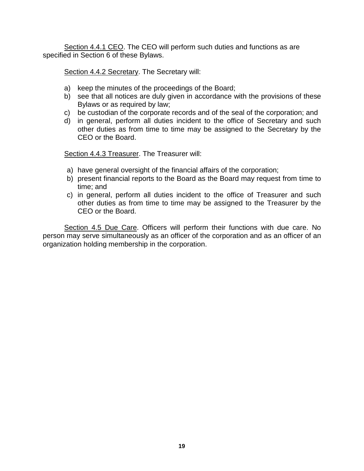Section 4.4.1 CEO. The CEO will perform such duties and functions as are specified in Section 6 of these Bylaws.

Section 4.4.2 Secretary. The Secretary will:

- a) keep the minutes of the proceedings of the Board;
- b) see that all notices are duly given in accordance with the provisions of these Bylaws or as required by law;
- c) be custodian of the corporate records and of the seal of the corporation; and
- d) in general, perform all duties incident to the office of Secretary and such other duties as from time to time may be assigned to the Secretary by the CEO or the Board.

Section 4.4.3 Treasurer. The Treasurer will:

- a) have general oversight of the financial affairs of the corporation;
- b) present financial reports to the Board as the Board may request from time to time; and
- c) in general, perform all duties incident to the office of Treasurer and such other duties as from time to time may be assigned to the Treasurer by the CEO or the Board.

Section 4.5 Due Care. Officers will perform their functions with due care. No person may serve simultaneously as an officer of the corporation and as an officer of an organization holding membership in the corporation.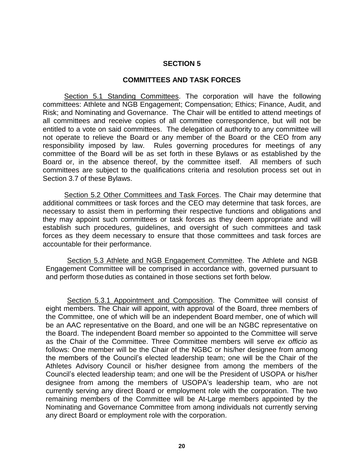#### **COMMITTEES AND TASK FORCES**

Section 5.1 Standing Committees. The corporation will have the following committees: Athlete and NGB Engagement; Compensation; Ethics; Finance, Audit, and Risk; and Nominating and Governance. The Chair will be entitled to attend meetings of all committees and receive copies of all committee correspondence, but will not be entitled to a vote on said committees. The delegation of authority to any committee will not operate to relieve the Board or any member of the Board or the CEO from any responsibility imposed by law. Rules governing procedures for meetings of any committee of the Board will be as set forth in these Bylaws or as established by the Board or, in the absence thereof, by the committee itself. All members of such committees are subject to the qualifications criteria and resolution process set out in Section 3.7 of these Bylaws.

Section 5.2 Other Committees and Task Forces. The Chair may determine that additional committees or task forces and the CEO may determine that task forces, are necessary to assist them in performing their respective functions and obligations and they may appoint such committees or task forces as they deem appropriate and will establish such procedures, guidelines, and oversight of such committees and task forces as they deem necessary to ensure that those committees and task forces are accountable for their performance.

Section 5.3 Athlete and NGB Engagement Committee. The Athlete and NGB Engagement Committee will be comprised in accordance with, governed pursuant to and perform thoseduties as contained in those sections set forth below.

Section 5.3.1 Appointment and Composition. The Committee will consist of eight members. The Chair will appoint, with approval of the Board, three members of the Committee, one of which will be an independent Board member, one of which will be an AAC representative on the Board, and one will be an NGBC representative on the Board. The independent Board member so appointed to the Committee will serve as the Chair of the Committee. Three Committee members will serve *ex officio* as follows: One member will be the Chair of the NGBC or his/her designee from among the members of the Council's elected leadership team; one will be the Chair of the Athletes Advisory Council or his/her designee from among the members of the Council's elected leadership team; and one will be the President of USOPA or his/her designee from among the members of USOPA's leadership team, who are not currently serving any direct Board or employment role with the corporation. The two remaining members of the Committee will be At-Large members appointed by the Nominating and Governance Committee from among individuals not currently serving any direct Board or employment role with the corporation.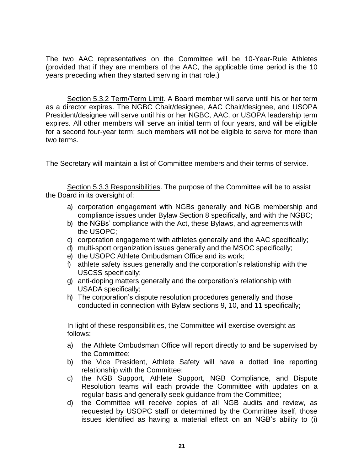The two AAC representatives on the Committee will be 10-Year-Rule Athletes (provided that if they are members of the AAC, the applicable time period is the 10 years preceding when they started serving in that role.)

Section 5.3.2 Term/Term Limit. A Board member will serve until his or her term as a director expires. The NGBC Chair/designee, AAC Chair/designee, and USOPA President/designee will serve until his or her NGBC, AAC, or USOPA leadership term expires. All other members will serve an initial term of four years, and will be eligible for a second four-year term; such members will not be eligible to serve for more than two terms.

The Secretary will maintain a list of Committee members and their terms of service.

Section 5.3.3 Responsibilities. The purpose of the Committee will be to assist the Board in its oversight of:

- a) corporation engagement with NGBs generally and NGB membership and compliance issues under Bylaw Section 8 specifically, and with the NGBC;
- b) the NGBs' compliance with the Act, these Bylaws, and agreements with the USOPC;
- c) corporation engagement with athletes generally and the AAC specifically;
- d) multi-sport organization issues generally and the MSOC specifically;
- e) the USOPC Athlete Ombudsman Office and its work;
- f) athlete safety issues generally and the corporation's relationship with the USCSS specifically;
- g) anti-doping matters generally and the corporation's relationship with USADA specifically;
- h) The corporation's dispute resolution procedures generally and those conducted in connection with Bylaw sections 9, 10, and 11 specifically;

In light of these responsibilities, the Committee will exercise oversight as follows:

- a) the Athlete Ombudsman Office will report directly to and be supervised by the Committee;
- b) the Vice President, Athlete Safety will have a dotted line reporting relationship with the Committee;
- c) the NGB Support, Athlete Support, NGB Compliance, and Dispute Resolution teams will each provide the Committee with updates on a regular basis and generally seek guidance from the Committee;
- d) the Committee will receive copies of all NGB audits and review, as requested by USOPC staff or determined by the Committee itself, those issues identified as having a material effect on an NGB's ability to (i)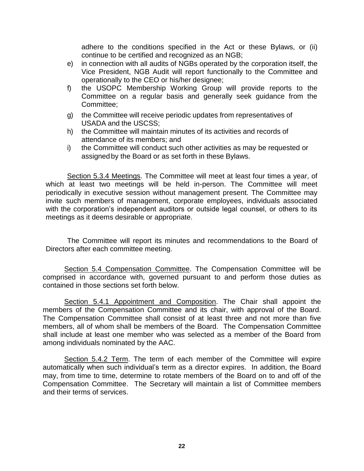adhere to the conditions specified in the Act or these Bylaws, or (ii) continue to be certified and recognized as an NGB;

- e) in connection with all audits of NGBs operated by the corporation itself, the Vice President, NGB Audit will report functionally to the Committee and operationally to the CEO or his/her designee;
- f) the USOPC Membership Working Group will provide reports to the Committee on a regular basis and generally seek guidance from the Committee;
- g) the Committee will receive periodic updates from representatives of USADA and the USCSS;
- h) the Committee will maintain minutes of its activities and records of attendance of its members; and
- i) the Committee will conduct such other activities as may be requested or assigned by the Board or as set forth in these Bylaws.

Section 5.3.4 Meetings. The Committee will meet at least four times a year, of which at least two meetings will be held in-person. The Committee will meet periodically in executive session without management present. The Committee may invite such members of management, corporate employees, individuals associated with the corporation's independent auditors or outside legal counsel, or others to its meetings as it deems desirable or appropriate.

The Committee will report its minutes and recommendations to the Board of Directors after each committee meeting.

Section 5.4 Compensation Committee. The Compensation Committee will be comprised in accordance with, governed pursuant to and perform those duties as contained in those sections set forth below.

Section 5.4.1 Appointment and Composition. The Chair shall appoint the members of the Compensation Committee and its chair, with approval of the Board. The Compensation Committee shall consist of at least three and not more than five members, all of whom shall be members of the Board. The Compensation Committee shall include at least one member who was selected as a member of the Board from among individuals nominated by the AAC.

Section 5.4.2 Term. The term of each member of the Committee will expire automatically when such individual's term as a director expires. In addition, the Board may, from time to time, determine to rotate members of the Board on to and off of the Compensation Committee. The Secretary will maintain a list of Committee members and their terms of services.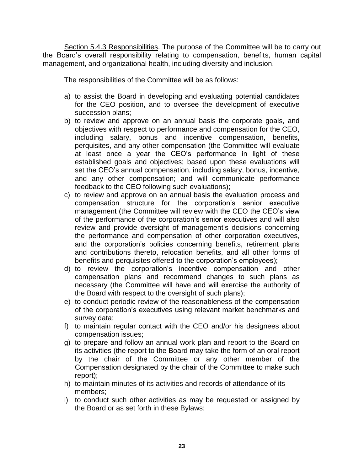Section 5.4.3 Responsibilities. The purpose of the Committee will be to carry out the Board's overall responsibility relating to compensation, benefits, human capital management, and organizational health, including diversity and inclusion.

The responsibilities of the Committee will be as follows:

- a) to assist the Board in developing and evaluating potential candidates for the CEO position, and to oversee the development of executive succession plans;
- b) to review and approve on an annual basis the corporate goals, and objectives with respect to performance and compensation for the CEO, including salary, bonus and incentive compensation, benefits, perquisites, and any other compensation (the Committee will evaluate at least once a year the CEO's performance in light of these established goals and objectives; based upon these evaluations will set the CEO's annual compensation, including salary, bonus, incentive, and any other compensation; and will communicate performance feedback to the CEO following such evaluations);
- c) to review and approve on an annual basis the evaluation process and compensation structure for the corporation's senior executive management (the Committee will review with the CEO the CEO's view of the performance of the corporation's senior executives and will also review and provide oversight of management's decisions concerning the performance and compensation of other corporation executives, and the corporation's policies concerning benefits, retirement plans and contributions thereto, relocation benefits, and all other forms of benefits and perquisites offered to the corporation's employees);
- d) to review the corporation's incentive compensation and other compensation plans and recommend changes to such plans as necessary (the Committee will have and will exercise the authority of the Board with respect to the oversight of such plans);
- e) to conduct periodic review of the reasonableness of the compensation of the corporation's executives using relevant market benchmarks and survey data;
- f) to maintain regular contact with the CEO and/or his designees about compensation issues;
- g) to prepare and follow an annual work plan and report to the Board on its activities (the report to the Board may take the form of an oral report by the chair of the Committee or any other member of the Compensation designated by the chair of the Committee to make such report);
- h) to maintain minutes of its activities and records of attendance of its members;
- i) to conduct such other activities as may be requested or assigned by the Board or as set forth in these Bylaws;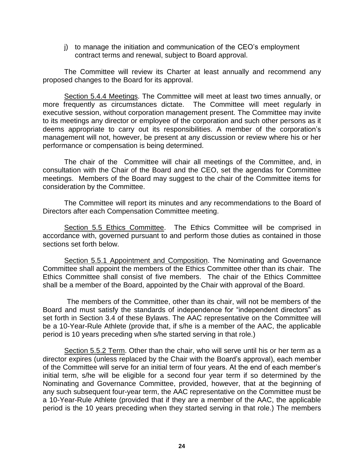j) to manage the initiation and communication of the CEO's employment contract terms and renewal, subject to Board approval.

The Committee will review its Charter at least annually and recommend any proposed changes to the Board for its approval.

Section 5.4.4 Meetings. The Committee will meet at least two times annually, or more frequently as circumstances dictate. The Committee will meet regularly in executive session, without corporation management present. The Committee may invite to its meetings any director or employee of the corporation and such other persons as it deems appropriate to carry out its responsibilities. A member of the corporation's management will not, however, be present at any discussion or review where his or her performance or compensation is being determined.

The chair of the Committee will chair all meetings of the Committee, and, in consultation with the Chair of the Board and the CEO, set the agendas for Committee meetings. Members of the Board may suggest to the chair of the Committee items for consideration by the Committee.

The Committee will report its minutes and any recommendations to the Board of Directors after each Compensation Committee meeting.

Section 5.5 Ethics Committee. The Ethics Committee will be comprised in accordance with, governed pursuant to and perform those duties as contained in those sections set forth below.

Section 5.5.1 Appointment and Composition. The Nominating and Governance Committee shall appoint the members of the Ethics Committee other than its chair. The Ethics Committee shall consist of five members. The chair of the Ethics Committee shall be a member of the Board, appointed by the Chair with approval of the Board.

The members of the Committee, other than its chair, will not be members of the Board and must satisfy the standards of independence for "independent directors" as set forth in Section 3.4 of these Bylaws. The AAC representative on the Committee will be a 10-Year-Rule Athlete (provide that, if s/he is a member of the AAC, the applicable period is 10 years preceding when s/he started serving in that role.)

Section 5.5.2 Term. Other than the chair, who will serve until his or her term as a director expires (unless replaced by the Chair with the Board's approval), each member of the Committee will serve for an initial term of four years. At the end of each member's initial term, s/he will be eligible for a second four year term if so determined by the Nominating and Governance Committee, provided, however, that at the beginning of any such subsequent four-year term, the AAC representative on the Committee must be a 10-Year-Rule Athlete (provided that if they are a member of the AAC, the applicable period is the 10 years preceding when they started serving in that role.) The members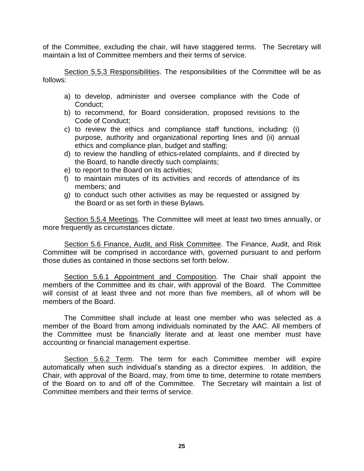of the Committee, excluding the chair, will have staggered terms. The Secretary will maintain a list of Committee members and their terms of service.

Section 5.5.3 Responsibilities. The responsibilities of the Committee will be as follows:

- a) to develop, administer and oversee compliance with the Code of Conduct;
- b) to recommend, for Board consideration, proposed revisions to the Code of Conduct;
- c) to review the ethics and compliance staff functions, including: (i) purpose, authority and organizational reporting lines and (ii) annual ethics and compliance plan, budget and staffing;
- d) to review the handling of ethics-related complaints, and if directed by the Board, to handle directly such complaints;
- e) to report to the Board on its activities;
- f) to maintain minutes of its activities and records of attendance of its members; and
- g) to conduct such other activities as may be requested or assigned by the Board or as set forth in these Bylaws.

Section 5.5.4 Meetings. The Committee will meet at least two times annually, or more frequently as circumstances dictate.

Section 5.6 Finance, Audit, and Risk Committee. The Finance, Audit, and Risk Committee will be comprised in accordance with, governed pursuant to and perform those duties as contained in those sections set forth below.

Section 5.6.1 Appointment and Composition. The Chair shall appoint the members of the Committee and its chair, with approval of the Board. The Committee will consist of at least three and not more than five members, all of whom will be members of the Board.

The Committee shall include at least one member who was selected as a member of the Board from among individuals nominated by the AAC. All members of the Committee must be financially literate and at least one member must have accounting or financial management expertise.

Section 5.6.2 Term. The term for each Committee member will expire automatically when such individual's standing as a director expires. In addition, the Chair, with approval of the Board, may, from time to time, determine to rotate members of the Board on to and off of the Committee. The Secretary will maintain a list of Committee members and their terms of service.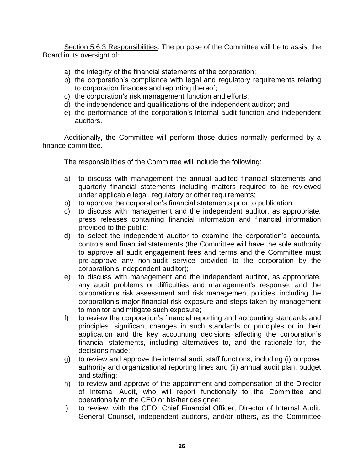Section 5.6.3 Responsibilities. The purpose of the Committee will be to assist the Board in its oversight of:

- a) the integrity of the financial statements of the corporation;
- b) the corporation's compliance with legal and regulatory requirements relating to corporation finances and reporting thereof;
- c) the corporation's risk management function and efforts;
- d) the independence and qualifications of the independent auditor; and
- e) the performance of the corporation's internal audit function and independent auditors.

Additionally, the Committee will perform those duties normally performed by a finance committee.

The responsibilities of the Committee will include the following:

- a) to discuss with management the annual audited financial statements and quarterly financial statements including matters required to be reviewed under applicable legal, regulatory or other requirements;
- b) to approve the corporation's financial statements prior to publication;
- c) to discuss with management and the independent auditor, as appropriate, press releases containing financial information and financial information provided to the public;
- d) to select the independent auditor to examine the corporation's accounts, controls and financial statements (the Committee will have the sole authority to approve all audit engagement fees and terms and the Committee must pre-approve any non-audit service provided to the corporation by the corporation's independent auditor);
- e) to discuss with management and the independent auditor, as appropriate, any audit problems or difficulties and management's response, and the corporation's risk assessment and risk management policies, including the corporation's major financial risk exposure and steps taken by management to monitor and mitigate such exposure;
- f) to review the corporation's financial reporting and accounting standards and principles, significant changes in such standards or principles or in their application and the key accounting decisions affecting the corporation's financial statements, including alternatives to, and the rationale for, the decisions made;
- g) to review and approve the internal audit staff functions, including (i) purpose, authority and organizational reporting lines and (ii) annual audit plan, budget and staffing;
- h) to review and approve of the appointment and compensation of the Director of Internal Audit, who will report functionally to the Committee and operationally to the CEO or his/her designee;
- i) to review, with the CEO, Chief Financial Officer, Director of Internal Audit, General Counsel, independent auditors, and/or others, as the Committee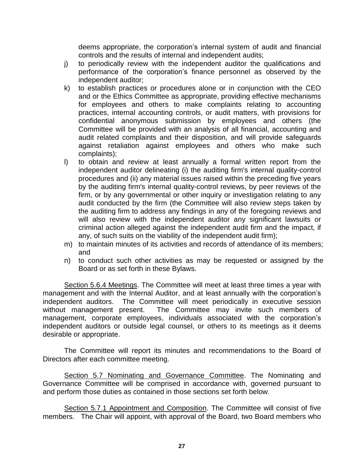deems appropriate, the corporation's internal system of audit and financial controls and the results of internal and independent audits;

- j) to periodically review with the independent auditor the qualifications and performance of the corporation's finance personnel as observed by the independent auditor;
- k) to establish practices or procedures alone or in conjunction with the CEO and or the Ethics Committee as appropriate, providing effective mechanisms for employees and others to make complaints relating to accounting practices, internal accounting controls, or audit matters, with provisions for confidential anonymous submission by employees and others (the Committee will be provided with an analysis of all financial, accounting and audit related complaints and their disposition, and will provide safeguards against retaliation against employees and others who make such complaints);
- l) to obtain and review at least annually a formal written report from the independent auditor delineating (i) the auditing firm's internal quality-control procedures and (ii) any material issues raised within the preceding five years by the auditing firm's internal quality-control reviews, by peer reviews of the firm, or by any governmental or other inquiry or investigation relating to any audit conducted by the firm (the Committee will also review steps taken by the auditing firm to address any findings in any of the foregoing reviews and will also review with the independent auditor any significant lawsuits or criminal action alleged against the independent audit firm and the impact, if any, of such suits on the viability of the independent audit firm);
- m) to maintain minutes of its activities and records of attendance of its members; and
- n) to conduct such other activities as may be requested or assigned by the Board or as set forth in these Bylaws.

Section 5.6.4 Meetings. The Committee will meet at least three times a year with management and with the Internal Auditor, and at least annually with the corporation's independent auditors. The Committee will meet periodically in executive session without management present. The Committee may invite such members of management, corporate employees, individuals associated with the corporation's independent auditors or outside legal counsel, or others to its meetings as it deems desirable or appropriate.

The Committee will report its minutes and recommendations to the Board of Directors after each committee meeting.

Section 5.7 Nominating and Governance Committee. The Nominating and Governance Committee will be comprised in accordance with, governed pursuant to and perform those duties as contained in those sections set forth below.

Section 5.7.1 Appointment and Composition. The Committee will consist of five members. The Chair will appoint, with approval of the Board, two Board members who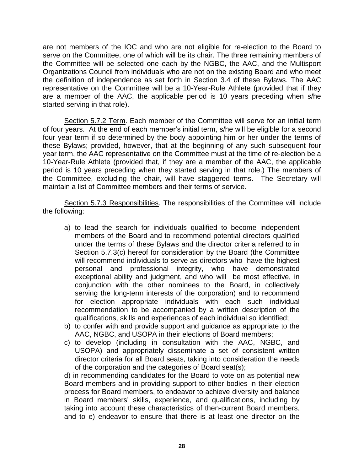are not members of the IOC and who are not eligible for re-election to the Board to serve on the Committee, one of which will be its chair. The three remaining members of the Committee will be selected one each by the NGBC, the AAC, and the Multisport Organizations Council from individuals who are not on the existing Board and who meet the definition of independence as set forth in Section 3.4 of these Bylaws. The AAC representative on the Committee will be a 10-Year-Rule Athlete (provided that if they are a member of the AAC, the applicable period is 10 years preceding when s/he started serving in that role).

Section 5.7.2 Term. Each member of the Committee will serve for an initial term of four years. At the end of each member's initial term, s/he will be eligible for a second four year term if so determined by the body appointing him or her under the terms of these Bylaws; provided, however, that at the beginning of any such subsequent four year term, the AAC representative on the Committee must at the time of re-election be a 10-Year-Rule Athlete (provided that, if they are a member of the AAC, the applicable period is 10 years preceding when they started serving in that role.) The members of the Committee, excluding the chair, will have staggered terms. The Secretary will maintain a list of Committee members and their terms of service.

Section 5.7.3 Responsibilities. The responsibilities of the Committee will include the following:

- a) to lead the search for individuals qualified to become independent members of the Board and to recommend potential directors qualified under the terms of these Bylaws and the director criteria referred to in Section 5.7.3(c) hereof for consideration by the Board (the Committee will recommend individuals to serve as directors who have the highest personal and professional integrity, who have demonstrated exceptional ability and judgment, and who will be most effective, in conjunction with the other nominees to the Board, in collectively serving the long-term interests of the corporation) and to recommend for election appropriate individuals with each such individual recommendation to be accompanied by a written description of the qualifications, skills and experiences of each individual so identified;
- b) to confer with and provide support and guidance as appropriate to the AAC, NGBC, and USOPA in their elections of Board members;
- c) to develop (including in consultation with the AAC, NGBC, and USOPA) and appropriately disseminate a set of consistent written director criteria for all Board seats, taking into consideration the needs of the corporation and the categories of Board seat(s);

d) in recommending candidates for the Board to vote on as potential new Board members and in providing support to other bodies in their election process for Board members, to endeavor to achieve diversity and balance in Board members' skills, experience, and qualifications, including by taking into account these characteristics of then-current Board members, and to e) endeavor to ensure that there is at least one director on the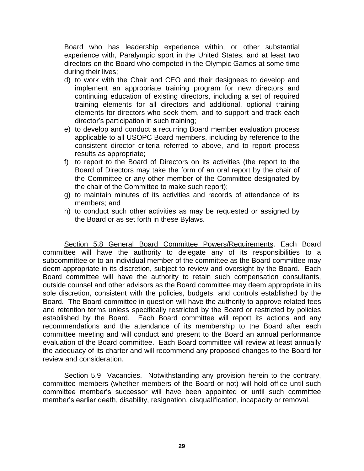Board who has leadership experience within, or other substantial experience with, Paralympic sport in the United States, and at least two directors on the Board who competed in the Olympic Games at some time during their lives;

- d) to work with the Chair and CEO and their designees to develop and implement an appropriate training program for new directors and continuing education of existing directors, including a set of required training elements for all directors and additional, optional training elements for directors who seek them, and to support and track each director's participation in such training;
- e) to develop and conduct a recurring Board member evaluation process applicable to all USOPC Board members, including by reference to the consistent director criteria referred to above, and to report process results as appropriate;
- f) to report to the Board of Directors on its activities (the report to the Board of Directors may take the form of an oral report by the chair of the Committee or any other member of the Committee designated by the chair of the Committee to make such report);
- g) to maintain minutes of its activities and records of attendance of its members; and
- h) to conduct such other activities as may be requested or assigned by the Board or as set forth in these Bylaws.

Section 5.8 General Board Committee Powers/Requirements. Each Board committee will have the authority to delegate any of its responsibilities to a subcommittee or to an individual member of the committee as the Board committee may deem appropriate in its discretion, subject to review and oversight by the Board. Each Board committee will have the authority to retain such compensation consultants, outside counsel and other advisors as the Board committee may deem appropriate in its sole discretion, consistent with the policies, budgets, and controls established by the Board. The Board committee in question will have the authority to approve related fees and retention terms unless specifically restricted by the Board or restricted by policies established by the Board. Each Board committee will report its actions and any recommendations and the attendance of its membership to the Board after each committee meeting and will conduct and present to the Board an annual performance evaluation of the Board committee. Each Board committee will review at least annually the adequacy of its charter and will recommend any proposed changes to the Board for review and consideration.

Section 5.9 Vacancies. Notwithstanding any provision herein to the contrary, committee members (whether members of the Board or not) will hold office until such committee member's successor will have been appointed or until such committee member's earlier death, disability, resignation, disqualification, incapacity or removal.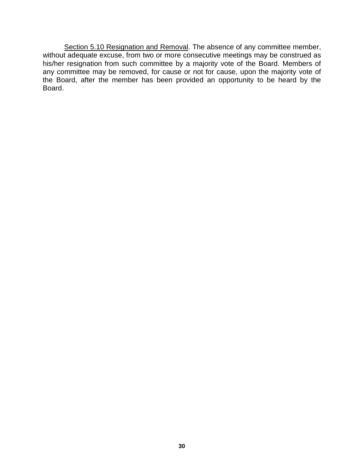Section 5.10 Resignation and Removal. The absence of any committee member, without adequate excuse, from two or more consecutive meetings may be construed as his/her resignation from such committee by a majority vote of the Board. Members of any committee may be removed, for cause or not for cause, upon the majority vote of the Board, after the member has been provided an opportunity to be heard by the Board.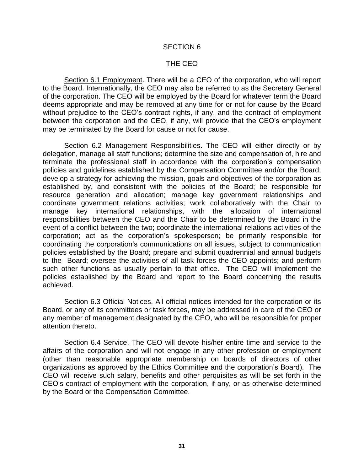#### THE CEO

Section 6.1 Employment. There will be a CEO of the corporation, who will report to the Board. Internationally, the CEO may also be referred to as the Secretary General of the corporation. The CEO will be employed by the Board for whatever term the Board deems appropriate and may be removed at any time for or not for cause by the Board without prejudice to the CEO's contract rights, if any, and the contract of employment between the corporation and the CEO, if any, will provide that the CEO's employment may be terminated by the Board for cause or not for cause.

Section 6.2 Management Responsibilities. The CEO will either directly or by delegation, manage all staff functions; determine the size and compensation of, hire and terminate the professional staff in accordance with the corporation's compensation policies and guidelines established by the Compensation Committee and/or the Board; develop a strategy for achieving the mission, goals and objectives of the corporation as established by, and consistent with the policies of the Board; be responsible for resource generation and allocation; manage key government relationships and coordinate government relations activities; work collaboratively with the Chair to manage key international relationships, with the allocation of international responsibilities between the CEO and the Chair to be determined by the Board in the event of a conflict between the two; coordinate the international relations activities of the corporation; act as the corporation's spokesperson; be primarily responsible for coordinating the corporation's communications on all issues, subject to communication policies established by the Board; prepare and submit quadrennial and annual budgets to the Board; oversee the activities of all task forces the CEO appoints; and perform such other functions as usually pertain to that office. The CEO will implement the policies established by the Board and report to the Board concerning the results achieved.

Section 6.3 Official Notices. All official notices intended for the corporation or its Board, or any of its committees or task forces, may be addressed in care of the CEO or any member of management designated by the CEO, who will be responsible for proper attention thereto.

Section 6.4 Service. The CEO will devote his/her entire time and service to the affairs of the corporation and will not engage in any other profession or employment (other than reasonable appropriate membership on boards of directors of other organizations as approved by the Ethics Committee and the corporation's Board). The CEO will receive such salary, benefits and other perquisites as will be set forth in the CEO's contract of employment with the corporation, if any, or as otherwise determined by the Board or the Compensation Committee.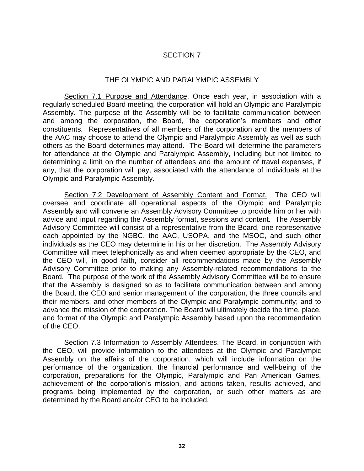#### THE OLYMPIC AND PARALYMPIC ASSEMBLY

Section 7.1 Purpose and Attendance. Once each year, in association with a regularly scheduled Board meeting, the corporation will hold an Olympic and Paralympic Assembly. The purpose of the Assembly will be to facilitate communication between and among the corporation, the Board, the corporation's members and other constituents. Representatives of all members of the corporation and the members of the AAC may choose to attend the Olympic and Paralympic Assembly as well as such others as the Board determines may attend. The Board will determine the parameters for attendance at the Olympic and Paralympic Assembly, including but not limited to determining a limit on the number of attendees and the amount of travel expenses, if any, that the corporation will pay, associated with the attendance of individuals at the Olympic and Paralympic Assembly.

Section 7.2 Development of Assembly Content and Format. The CEO will oversee and coordinate all operational aspects of the Olympic and Paralympic Assembly and will convene an Assembly Advisory Committee to provide him or her with advice and input regarding the Assembly format, sessions and content. The Assembly Advisory Committee will consist of a representative from the Board, one representative each appointed by the NGBC, the AAC, USOPA, and the MSOC, and such other individuals as the CEO may determine in his or her discretion. The Assembly Advisory Committee will meet telephonically as and when deemed appropriate by the CEO, and the CEO will, in good faith, consider all recommendations made by the Assembly Advisory Committee prior to making any Assembly-related recommendations to the Board. The purpose of the work of the Assembly Advisory Committee will be to ensure that the Assembly is designed so as to facilitate communication between and among the Board, the CEO and senior management of the corporation, the three councils and their members, and other members of the Olympic and Paralympic community; and to advance the mission of the corporation. The Board will ultimately decide the time, place, and format of the Olympic and Paralympic Assembly based upon the recommendation of the CEO.

Section 7.3 Information to Assembly Attendees. The Board, in conjunction with the CEO, will provide information to the attendees at the Olympic and Paralympic Assembly on the affairs of the corporation, which will include information on the performance of the organization, the financial performance and well-being of the corporation, preparations for the Olympic, Paralympic and Pan American Games, achievement of the corporation's mission, and actions taken, results achieved, and programs being implemented by the corporation, or such other matters as are determined by the Board and/or CEO to be included.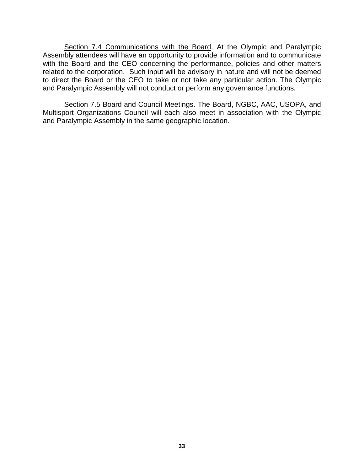Section 7.4 Communications with the Board. At the Olympic and Paralympic Assembly attendees will have an opportunity to provide information and to communicate with the Board and the CEO concerning the performance, policies and other matters related to the corporation. Such input will be advisory in nature and will not be deemed to direct the Board or the CEO to take or not take any particular action. The Olympic and Paralympic Assembly will not conduct or perform any governance functions.

Section 7.5 Board and Council Meetings. The Board, NGBC, AAC, USOPA, and Multisport Organizations Council will each also meet in association with the Olympic and Paralympic Assembly in the same geographic location.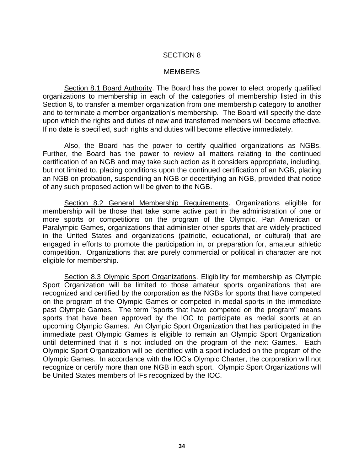#### **MEMBERS**

Section 8.1 Board Authority. The Board has the power to elect properly qualified organizations to membership in each of the categories of membership listed in this Section 8, to transfer a member organization from one membership category to another and to terminate a member organization's membership. The Board will specify the date upon which the rights and duties of new and transferred members will become effective. If no date is specified, such rights and duties will become effective immediately.

Also, the Board has the power to certify qualified organizations as NGBs. Further, the Board has the power to review all matters relating to the continued certification of an NGB and may take such action as it considers appropriate, including, but not limited to, placing conditions upon the continued certification of an NGB, placing an NGB on probation, suspending an NGB or decertifying an NGB, provided that notice of any such proposed action will be given to the NGB.

Section 8.2 General Membership Requirements. Organizations eligible for membership will be those that take some active part in the administration of one or more sports or competitions on the program of the Olympic, Pan American or Paralympic Games, organizations that administer other sports that are widely practiced in the United States and organizations (patriotic, educational, or cultural) that are engaged in efforts to promote the participation in, or preparation for, amateur athletic competition. Organizations that are purely commercial or political in character are not eligible for membership.

Section 8.3 Olympic Sport Organizations. Eligibility for membership as Olympic Sport Organization will be limited to those amateur sports organizations that are recognized and certified by the corporation as the NGBs for sports that have competed on the program of the Olympic Games or competed in medal sports in the immediate past Olympic Games. The term "sports that have competed on the program" means sports that have been approved by the IOC to participate as medal sports at an upcoming Olympic Games. An Olympic Sport Organization that has participated in the immediate past Olympic Games is eligible to remain an Olympic Sport Organization until determined that it is not included on the program of the next Games. Each Olympic Sport Organization will be identified with a sport included on the program of the Olympic Games. In accordance with the IOC's Olympic Charter, the corporation will not recognize or certify more than one NGB in each sport. Olympic Sport Organizations will be United States members of IFs recognized by the IOC.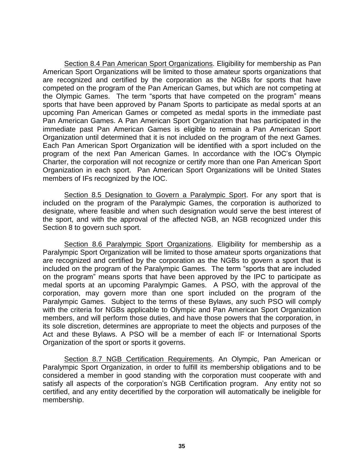Section 8.4 Pan American Sport Organizations. Eligibility for membership as Pan American Sport Organizations will be limited to those amateur sports organizations that are recognized and certified by the corporation as the NGBs for sports that have competed on the program of the Pan American Games, but which are not competing at the Olympic Games. The term "sports that have competed on the program" means sports that have been approved by Panam Sports to participate as medal sports at an upcoming Pan American Games or competed as medal sports in the immediate past Pan American Games. A Pan American Sport Organization that has participated in the immediate past Pan American Games is eligible to remain a Pan American Sport Organization until determined that it is not included on the program of the next Games. Each Pan American Sport Organization will be identified with a sport included on the program of the next Pan American Games. In accordance with the IOC's Olympic Charter, the corporation will not recognize or certify more than one Pan American Sport Organization in each sport. Pan American Sport Organizations will be United States members of IFs recognized by the IOC.

Section 8.5 Designation to Govern a Paralympic Sport. For any sport that is included on the program of the Paralympic Games, the corporation is authorized to designate, where feasible and when such designation would serve the best interest of the sport, and with the approval of the affected NGB, an NGB recognized under this Section 8 to govern such sport.

Section 8.6 Paralympic Sport Organizations. Eligibility for membership as a Paralympic Sport Organization will be limited to those amateur sports organizations that are recognized and certified by the corporation as the NGBs to govern a sport that is included on the program of the Paralympic Games. The term "sports that are included on the program" means sports that have been approved by the IPC to participate as medal sports at an upcoming Paralympic Games. A PSO, with the approval of the corporation, may govern more than one sport included on the program of the Paralympic Games. Subject to the terms of these Bylaws, any such PSO will comply with the criteria for NGBs applicable to Olympic and Pan American Sport Organization members, and will perform those duties, and have those powers that the corporation, in its sole discretion, determines are appropriate to meet the objects and purposes of the Act and these Bylaws. A PSO will be a member of each IF or International Sports Organization of the sport or sports it governs.

Section 8.7 NGB Certification Requirements. An Olympic, Pan American or Paralympic Sport Organization, in order to fulfill its membership obligations and to be considered a member in good standing with the corporation must cooperate with and satisfy all aspects of the corporation's NGB Certification program. Any entity not so certified, and any entity decertified by the corporation will automatically be ineligible for membership.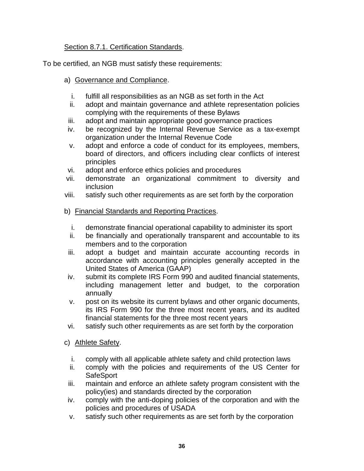## Section 8.7.1. Certification Standards.

To be certified, an NGB must satisfy these requirements:

## a) Governance and Compliance.

- i. fulfill all responsibilities as an NGB as set forth in the Act
- ii. adopt and maintain governance and athlete representation policies complying with the requirements of these Bylaws
- iii. adopt and maintain appropriate good governance practices
- iv. be recognized by the Internal Revenue Service as a tax-exempt organization under the Internal Revenue Code
- v. adopt and enforce a code of conduct for its employees, members, board of directors, and officers including clear conflicts of interest principles
- vi. adopt and enforce ethics policies and procedures
- vii. demonstrate an organizational commitment to diversity and inclusion
- viii. satisfy such other requirements as are set forth by the corporation
- b) Financial Standards and Reporting Practices.
	- i. demonstrate financial operational capability to administer its sport
	- ii. be financially and operationally transparent and accountable to its members and to the corporation
- iii. adopt a budget and maintain accurate accounting records in accordance with accounting principles generally accepted in the United States of America (GAAP)
- iv. submit its complete IRS Form 990 and audited financial statements, including management letter and budget, to the corporation annually
- v. post on its website its current bylaws and other organic documents, its IRS Form 990 for the three most recent years, and its audited financial statements for the three most recent years
- vi. satisfy such other requirements as are set forth by the corporation
- c) Athlete Safety.
	- i. comply with all applicable athlete safety and child protection laws
	- ii. comply with the policies and requirements of the US Center for **SafeSport**
- iii. maintain and enforce an athlete safety program consistent with the policy(ies) and standards directed by the corporation
- iv. comply with the anti-doping policies of the corporation and with the policies and procedures of USADA
- v. satisfy such other requirements as are set forth by the corporation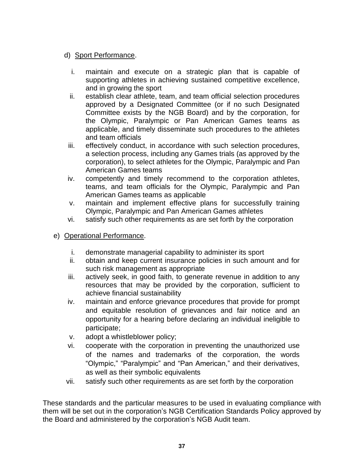# d) Sport Performance.

- i. maintain and execute on a strategic plan that is capable of supporting athletes in achieving sustained competitive excellence, and in growing the sport
- ii. establish clear athlete, team, and team official selection procedures approved by a Designated Committee (or if no such Designated Committee exists by the NGB Board) and by the corporation, for the Olympic, Paralympic or Pan American Games teams as applicable, and timely disseminate such procedures to the athletes and team officials
- iii. effectively conduct, in accordance with such selection procedures, a selection process, including any Games trials (as approved by the corporation), to select athletes for the Olympic, Paralympic and Pan American Games teams
- iv. competently and timely recommend to the corporation athletes, teams, and team officials for the Olympic, Paralympic and Pan American Games teams as applicable
- v. maintain and implement effective plans for successfully training Olympic, Paralympic and Pan American Games athletes
- vi. satisfy such other requirements as are set forth by the corporation
- e) Operational Performance.
	- i. demonstrate managerial capability to administer its sport
	- ii. obtain and keep current insurance policies in such amount and for such risk management as appropriate
	- iii. actively seek, in good faith, to generate revenue in addition to any resources that may be provided by the corporation, sufficient to achieve financial sustainability
	- iv. maintain and enforce grievance procedures that provide for prompt and equitable resolution of grievances and fair notice and an opportunity for a hearing before declaring an individual ineligible to participate;
	- v. adopt a whistleblower policy;
	- vi. cooperate with the corporation in preventing the unauthorized use of the names and trademarks of the corporation, the words "Olympic," "Paralympic" and "Pan American," and their derivatives, as well as their symbolic equivalents
	- vii. satisfy such other requirements as are set forth by the corporation

These standards and the particular measures to be used in evaluating compliance with them will be set out in the corporation's NGB Certification Standards Policy approved by the Board and administered by the corporation's NGB Audit team.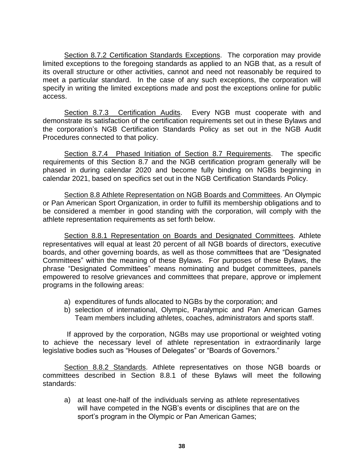Section 8.7.2 Certification Standards Exceptions. The corporation may provide limited exceptions to the foregoing standards as applied to an NGB that, as a result of its overall structure or other activities, cannot and need not reasonably be required to meet a particular standard. In the case of any such exceptions, the corporation will specify in writing the limited exceptions made and post the exceptions online for public access.

Section 8.7.3 Certification Audits. Every NGB must cooperate with and demonstrate its satisfaction of the certification requirements set out in these Bylaws and the corporation's NGB Certification Standards Policy as set out in the NGB Audit Procedures connected to that policy.

Section 8.7.4 Phased Initiation of Section 8.7 Requirements. The specific requirements of this Section 8.7 and the NGB certification program generally will be phased in during calendar 2020 and become fully binding on NGBs beginning in calendar 2021, based on specifics set out in the NGB Certification Standards Policy.

Section 8.8 Athlete Representation on NGB Boards and Committees. An Olympic or Pan American Sport Organization, in order to fulfill its membership obligations and to be considered a member in good standing with the corporation, will comply with the athlete representation requirements as set forth below.

Section 8.8.1 Representation on Boards and Designated Committees. Athlete representatives will equal at least 20 percent of all NGB boards of directors, executive boards, and other governing boards, as well as those committees that are "Designated Committees" within the meaning of these Bylaws. For purposes of these Bylaws, the phrase "Designated Committees" means nominating and budget committees, panels empowered to resolve grievances and committees that prepare, approve or implement programs in the following areas:

- a) expenditures of funds allocated to NGBs by the corporation; and
- b) selection of international, Olympic, Paralympic and Pan American Games Team members including athletes, coaches, administrators and sports staff.

If approved by the corporation, NGBs may use proportional or weighted voting to achieve the necessary level of athlete representation in extraordinarily large legislative bodies such as "Houses of Delegates" or "Boards of Governors."

Section 8.8.2 Standards. Athlete representatives on those NGB boards or committees described in Section 8.8.1 of these Bylaws will meet the following standards:

a) at least one-half of the individuals serving as athlete representatives will have competed in the NGB's events or disciplines that are on the sport's program in the Olympic or Pan American Games;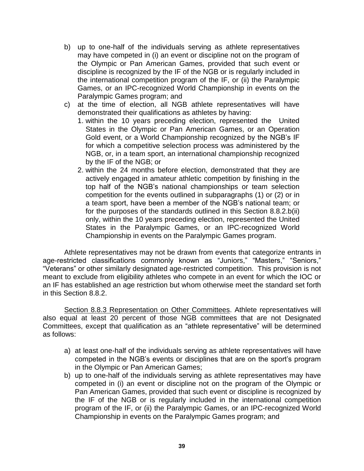- b) up to one-half of the individuals serving as athlete representatives may have competed in (i) an event or discipline not on the program of the Olympic or Pan American Games, provided that such event or discipline is recognized by the IF of the NGB or is regularly included in the international competition program of the IF, or (ii) the Paralympic Games, or an IPC-recognized World Championship in events on the Paralympic Games program; and
- c) at the time of election, all NGB athlete representatives will have demonstrated their qualifications as athletes by having:
	- 1. within the 10 years preceding election, represented the United States in the Olympic or Pan American Games, or an Operation Gold event, or a World Championship recognized by the NGB's IF for which a competitive selection process was administered by the NGB, or, in a team sport, an international championship recognized by the IF of the NGB; or
	- 2. within the 24 months before election, demonstrated that they are actively engaged in amateur athletic competition by finishing in the top half of the NGB's national championships or team selection competition for the events outlined in subparagraphs (1) or (2) or in a team sport, have been a member of the NGB's national team; or for the purposes of the standards outlined in this Section 8.8.2.b(ii) only, within the 10 years preceding election, represented the United States in the Paralympic Games, or an IPC-recognized World Championship in events on the Paralympic Games program.

Athlete representatives may not be drawn from events that categorize entrants in age-restricted classifications commonly known as "Juniors," "Masters," "Seniors," "Veterans" or other similarly designated age-restricted competition. This provision is not meant to exclude from eligibility athletes who compete in an event for which the IOC or an IF has established an age restriction but whom otherwise meet the standard set forth in this Section 8.8.2.

Section 8.8.3 Representation on Other Committees. Athlete representatives will also equal at least 20 percent of those NGB committees that are not Designated Committees, except that qualification as an "athlete representative" will be determined as follows:

- a) at least one-half of the individuals serving as athlete representatives will have competed in the NGB's events or disciplines that are on the sport's program in the Olympic or Pan American Games;
- b) up to one-half of the individuals serving as athlete representatives may have competed in (i) an event or discipline not on the program of the Olympic or Pan American Games, provided that such event or discipline is recognized by the IF of the NGB or is regularly included in the international competition program of the IF, or (ii) the Paralympic Games, or an IPC-recognized World Championship in events on the Paralympic Games program; and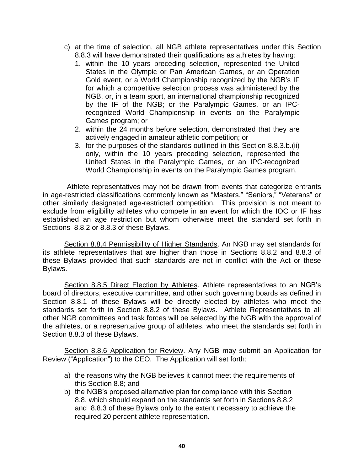- c) at the time of selection, all NGB athlete representatives under this Section 8.8.3 will have demonstrated their qualifications as athletes by having:
	- 1. within the 10 years preceding selection, represented the United States in the Olympic or Pan American Games, or an Operation Gold event, or a World Championship recognized by the NGB's IF for which a competitive selection process was administered by the NGB, or, in a team sport, an international championship recognized by the IF of the NGB; or the Paralympic Games, or an IPCrecognized World Championship in events on the Paralympic Games program; or
	- 2. within the 24 months before selection, demonstrated that they are actively engaged in amateur athletic competition; or
	- 3. for the purposes of the standards outlined in this Section 8.8.3.b.(ii) only, within the 10 years preceding selection, represented the United States in the Paralympic Games, or an IPC-recognized World Championship in events on the Paralympic Games program.

Athlete representatives may not be drawn from events that categorize entrants in age-restricted classifications commonly known as "Masters," "Seniors," "Veterans" or other similarly designated age-restricted competition. This provision is not meant to exclude from eligibility athletes who compete in an event for which the IOC or IF has established an age restriction but whom otherwise meet the standard set forth in Sections 8.8.2 or 8.8.3 of these Bylaws.

Section 8.8.4 Permissibility of Higher Standards. An NGB may set standards for its athlete representatives that are higher than those in Sections 8.8.2 and 8.8.3 of these Bylaws provided that such standards are not in conflict with the Act or these Bylaws.

Section 8.8.5 Direct Election by Athletes. Athlete representatives to an NGB's board of directors, executive committee, and other such governing boards as defined in Section 8.8.1 of these Bylaws will be directly elected by athletes who meet the standards set forth in Section 8.8.2 of these Bylaws. Athlete Representatives to all other NGB committees and task forces will be selected by the NGB with the approval of the athletes, or a representative group of athletes, who meet the standards set forth in Section 8.8.3 of these Bylaws.

Section 8.8.6 Application for Review. Any NGB may submit an Application for Review ("Application") to the CEO. The Application will set forth:

- a) the reasons why the NGB believes it cannot meet the requirements of this Section 8.8; and
- b) the NGB's proposed alternative plan for compliance with this Section 8.8, which should expand on the standards set forth in Sections 8.8.2 and 8.8.3 of these Bylaws only to the extent necessary to achieve the required 20 percent athlete representation.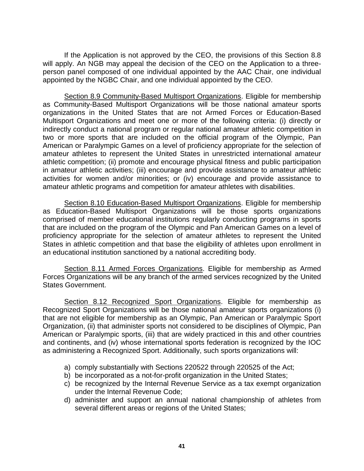If the Application is not approved by the CEO, the provisions of this Section 8.8 will apply. An NGB may appeal the decision of the CEO on the Application to a threeperson panel composed of one individual appointed by the AAC Chair, one individual appointed by the NGBC Chair, and one individual appointed by the CEO.

Section 8.9 Community-Based Multisport Organizations. Eligible for membership as Community-Based Multisport Organizations will be those national amateur sports organizations in the United States that are not Armed Forces or Education-Based Multisport Organizations and meet one or more of the following criteria: (i) directly or indirectly conduct a national program or regular national amateur athletic competition in two or more sports that are included on the official program of the Olympic, Pan American or Paralympic Games on a level of proficiency appropriate for the selection of amateur athletes to represent the United States in unrestricted international amateur athletic competition; (ii) promote and encourage physical fitness and public participation in amateur athletic activities; (iii) encourage and provide assistance to amateur athletic activities for women and/or minorities; or (iv) encourage and provide assistance to amateur athletic programs and competition for amateur athletes with disabilities.

Section 8.10 Education-Based Multisport Organizations. Eligible for membership as Education-Based Multisport Organizations will be those sports organizations comprised of member educational institutions regularly conducting programs in sports that are included on the program of the Olympic and Pan American Games on a level of proficiency appropriate for the selection of amateur athletes to represent the United States in athletic competition and that base the eligibility of athletes upon enrollment in an educational institution sanctioned by a national accrediting body.

Section 8.11 Armed Forces Organizations. Eligible for membership as Armed Forces Organizations will be any branch of the armed services recognized by the United States Government.

Section 8.12 Recognized Sport Organizations. Eligible for membership as Recognized Sport Organizations will be those national amateur sports organizations (i) that are not eligible for membership as an Olympic, Pan American or Paralympic Sport Organization, (ii) that administer sports not considered to be disciplines of Olympic, Pan American or Paralympic sports, (iii) that are widely practiced in this and other countries and continents, and (iv) whose international sports federation is recognized by the IOC as administering a Recognized Sport. Additionally, such sports organizations will:

- a) comply substantially with Sections 220522 through 220525 of the Act;
- b) be incorporated as a not-for-profit organization in the United States;
- c) be recognized by the Internal Revenue Service as a tax exempt organization under the Internal Revenue Code;
- d) administer and support an annual national championship of athletes from several different areas or regions of the United States;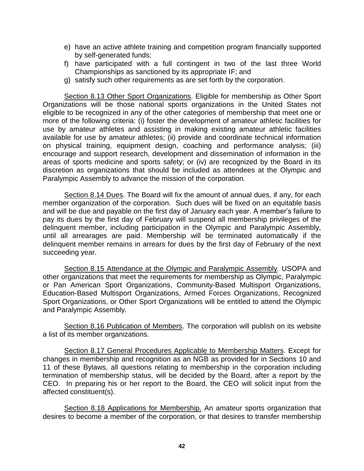- e) have an active athlete training and competition program financially supported by self-generated funds;
- f) have participated with a full contingent in two of the last three World Championships as sanctioned by its appropriate IF; and
- g) satisfy such other requirements as are set forth by the corporation.

Section 8.13 Other Sport Organizations. Eligible for membership as Other Sport Organizations will be those national sports organizations in the United States not eligible to be recognized in any of the other categories of membership that meet one or more of the following criteria: (i) foster the development of amateur athletic facilities for use by amateur athletes and assisting in making existing amateur athletic facilities available for use by amateur athletes; (ii) provide and coordinate technical information on physical training, equipment design, coaching and performance analysis; (iii) encourage and support research, development and dissemination of information in the areas of sports medicine and sports safety; or (iv) are recognized by the Board in its discretion as organizations that should be included as attendees at the Olympic and Paralympic Assembly to advance the mission of the corporation.

Section 8.14 Dues. The Board will fix the amount of annual dues, if any, for each member organization of the corporation. Such dues will be fixed on an equitable basis and will be due and payable on the first day of January each year. A member's failure to pay its dues by the first day of February will suspend all membership privileges of the delinquent member, including participation in the Olympic and Paralympic Assembly, until all arrearages are paid. Membership will be terminated automatically if the delinquent member remains in arrears for dues by the first day of February of the next succeeding year.

Section 8.15 Attendance at the Olympic and Paralympic Assembly. USOPA and other organizations that meet the requirements for membership as Olympic, Paralympic or Pan American Sport Organizations, Community-Based Multisport Organizations, Education-Based Multisport Organizations, Armed Forces Organizations, Recognized Sport Organizations, or Other Sport Organizations will be entitled to attend the Olympic and Paralympic Assembly.

Section 8.16 Publication of Members. The corporation will publish on its website a list of its member organizations.

Section 8.17 General Procedures Applicable to Membership Matters. Except for changes in membership and recognition as an NGB as provided for in Sections 10 and 11 of these Bylaws, all questions relating to membership in the corporation including termination of membership status, will be decided by the Board, after a report by the CEO. In preparing his or her report to the Board, the CEO will solicit input from the affected constituent(s).

Section 8.18 Applications for Membership. An amateur sports organization that desires to become a member of the corporation, or that desires to transfer membership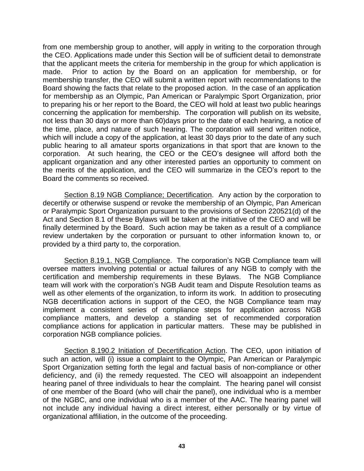from one membership group to another, will apply in writing to the corporation through the CEO. Applications made under this Section will be of sufficient detail to demonstrate that the applicant meets the criteria for membership in the group for which application is made. Prior to action by the Board on an application for membership, or for membership transfer, the CEO will submit a written report with recommendations to the Board showing the facts that relate to the proposed action. In the case of an application for membership as an Olympic, Pan American or Paralympic Sport Organization, prior to preparing his or her report to the Board, the CEO will hold at least two public hearings concerning the application for membership. The corporation will publish on its website, not less than 30 days or more than 60)days prior to the date of each hearing, a notice of the time, place, and nature of such hearing. The corporation will send written notice, which will include a copy of the application, at least 30 days prior to the date of any such public hearing to all amateur sports organizations in that sport that are known to the corporation. At such hearing, the CEO or the CEO's designee will afford both the applicant organization and any other interested parties an opportunity to comment on the merits of the application, and the CEO will summarize in the CEO's report to the Board the comments so received.

Section 8.19 NGB Compliance; Decertification. Any action by the corporation to decertify or otherwise suspend or revoke the membership of an Olympic, Pan American or Paralympic Sport Organization pursuant to the provisions of Section 220521(d) of the Act and Section 8.1 of these Bylaws will be taken at the initiative of the CEO and will be finally determined by the Board. Such action may be taken as a result of a compliance review undertaken by the corporation or pursuant to other information known to, or provided by a third party to, the corporation.

Section 8.19.1. NGB Compliance. The corporation's NGB Compliance team will oversee matters involving potential or actual failures of any NGB to comply with the certification and membership requirements in these Bylaws. The NGB Compliance team will work with the corporation's NGB Audit team and Dispute Resolution teams as well as other elements of the organization, to inform its work. In addition to prosecuting NGB decertification actions in support of the CEO, the NGB Compliance team may implement a consistent series of compliance steps for application across NGB compliance matters, and develop a standing set of recommended corporation compliance actions for application in particular matters. These may be published in corporation NGB compliance policies.

Section 8.190.2 Initiation of Decertification Action. The CEO, upon initiation of such an action, will (i) issue a complaint to the Olympic, Pan American or Paralympic Sport Organization setting forth the legal and factual basis of non-compliance or other deficiency, and (ii) the remedy requested. The CEO will alsoappoint an independent hearing panel of three individuals to hear the complaint. The hearing panel will consist of one member of the Board (who will chair the panel), one individual who is a member of the NGBC, and one individual who is a member of the AAC. The hearing panel will not include any individual having a direct interest, either personally or by virtue of organizational affiliation, in the outcome of the proceeding.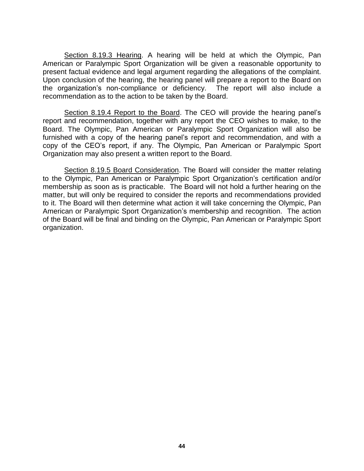Section 8.19.3 Hearing. A hearing will be held at which the Olympic, Pan American or Paralympic Sport Organization will be given a reasonable opportunity to present factual evidence and legal argument regarding the allegations of the complaint. Upon conclusion of the hearing, the hearing panel will prepare a report to the Board on the organization's non-compliance or deficiency. The report will also include a recommendation as to the action to be taken by the Board.

Section 8.19.4 Report to the Board. The CEO will provide the hearing panel's report and recommendation, together with any report the CEO wishes to make, to the Board. The Olympic, Pan American or Paralympic Sport Organization will also be furnished with a copy of the hearing panel's report and recommendation, and with a copy of the CEO's report, if any. The Olympic, Pan American or Paralympic Sport Organization may also present a written report to the Board.

Section 8.19.5 Board Consideration. The Board will consider the matter relating to the Olympic, Pan American or Paralympic Sport Organization's certification and/or membership as soon as is practicable. The Board will not hold a further hearing on the matter, but will only be required to consider the reports and recommendations provided to it. The Board will then determine what action it will take concerning the Olympic, Pan American or Paralympic Sport Organization's membership and recognition. The action of the Board will be final and binding on the Olympic, Pan American or Paralympic Sport organization.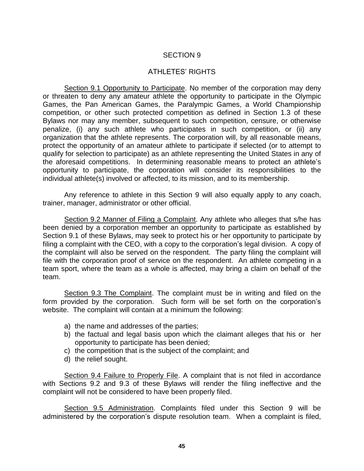#### ATHLETES' RIGHTS

Section 9.1 Opportunity to Participate. No member of the corporation may deny or threaten to deny any amateur athlete the opportunity to participate in the Olympic Games, the Pan American Games, the Paralympic Games, a World Championship competition, or other such protected competition as defined in Section 1.3 of these Bylaws nor may any member, subsequent to such competition, censure, or otherwise penalize, (i) any such athlete who participates in such competition, or (ii) any organization that the athlete represents. The corporation will, by all reasonable means, protect the opportunity of an amateur athlete to participate if selected (or to attempt to qualify for selection to participate) as an athlete representing the United States in any of the aforesaid competitions. In determining reasonable means to protect an athlete's opportunity to participate, the corporation will consider its responsibilities to the individual athlete(s) involved or affected, to its mission, and to its membership.

Any reference to athlete in this Section 9 will also equally apply to any coach, trainer, manager, administrator or other official.

Section 9.2 Manner of Filing a Complaint. Any athlete who alleges that s/he has been denied by a corporation member an opportunity to participate as established by Section 9.1 of these Bylaws, may seek to protect his or her opportunity to participate by filing a complaint with the CEO, with a copy to the corporation's legal division. A copy of the complaint will also be served on the respondent. The party filing the complaint will file with the corporation proof of service on the respondent. An athlete competing in a team sport, where the team as a whole is affected, may bring a claim on behalf of the team.

Section 9.3 The Complaint. The complaint must be in writing and filed on the form provided by the corporation. Such form will be set forth on the corporation's website. The complaint will contain at a minimum the following:

- a) the name and addresses of the parties;
- b) the factual and legal basis upon which the claimant alleges that his or her opportunity to participate has been denied;
- c) the competition that is the subject of the complaint; and
- d) the relief sought.

Section 9.4 Failure to Properly File. A complaint that is not filed in accordance with Sections 9.2 and 9.3 of these Bylaws will render the filing ineffective and the complaint will not be considered to have been properly filed.

Section 9.5 Administration. Complaints filed under this Section 9 will be administered by the corporation's dispute resolution team. When a complaint is filed,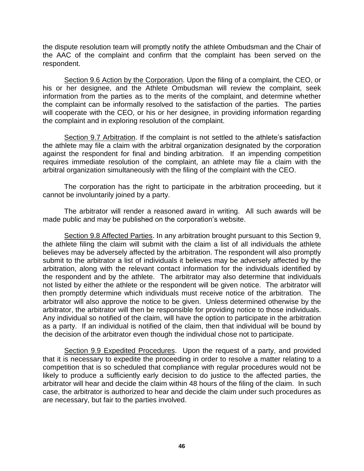the dispute resolution team will promptly notify the athlete Ombudsman and the Chair of the AAC of the complaint and confirm that the complaint has been served on the respondent.

Section 9.6 Action by the Corporation. Upon the filing of a complaint, the CEO, or his or her designee, and the Athlete Ombudsman will review the complaint, seek information from the parties as to the merits of the complaint, and determine whether the complaint can be informally resolved to the satisfaction of the parties. The parties will cooperate with the CEO, or his or her designee, in providing information regarding the complaint and in exploring resolution of the complaint.

Section 9.7 Arbitration. If the complaint is not settled to the athlete's satisfaction the athlete may file a claim with the arbitral organization designated by the corporation against the respondent for final and binding arbitration. If an impending competition requires immediate resolution of the complaint, an athlete may file a claim with the arbitral organization simultaneously with the filing of the complaint with the CEO.

The corporation has the right to participate in the arbitration proceeding, but it cannot be involuntarily joined by a party.

The arbitrator will render a reasoned award in writing. All such awards will be made public and may be published on the corporation's website.

Section 9.8 Affected Parties. In any arbitration brought pursuant to this Section 9, the athlete filing the claim will submit with the claim a list of all individuals the athlete believes may be adversely affected by the arbitration. The respondent will also promptly submit to the arbitrator a list of individuals it believes may be adversely affected by the arbitration, along with the relevant contact information for the individuals identified by the respondent and by the athlete. The arbitrator may also determine that individuals not listed by either the athlete or the respondent will be given notice. The arbitrator will then promptly determine which individuals must receive notice of the arbitration. The arbitrator will also approve the notice to be given. Unless determined otherwise by the arbitrator, the arbitrator will then be responsible for providing notice to those individuals. Any individual so notified of the claim, will have the option to participate in the arbitration as a party. If an individual is notified of the claim, then that individual will be bound by the decision of the arbitrator even though the individual chose not to participate.

Section 9.9 Expedited Procedures. Upon the request of a party, and provided that it is necessary to expedite the proceeding in order to resolve a matter relating to a competition that is so scheduled that compliance with regular procedures would not be likely to produce a sufficiently early decision to do justice to the affected parties, the arbitrator will hear and decide the claim within 48 hours of the filing of the claim. In such case, the arbitrator is authorized to hear and decide the claim under such procedures as are necessary, but fair to the parties involved.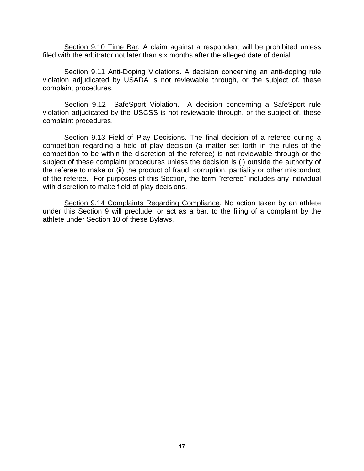Section 9.10 Time Bar. A claim against a respondent will be prohibited unless filed with the arbitrator not later than six months after the alleged date of denial.

Section 9.11 Anti-Doping Violations. A decision concerning an anti-doping rule violation adjudicated by USADA is not reviewable through, or the subject of, these complaint procedures.

Section 9.12 SafeSport Violation. A decision concerning a SafeSport rule violation adjudicated by the USCSS is not reviewable through, or the subject of, these complaint procedures.

Section 9.13 Field of Play Decisions. The final decision of a referee during a competition regarding a field of play decision (a matter set forth in the rules of the competition to be within the discretion of the referee) is not reviewable through or the subject of these complaint procedures unless the decision is (i) outside the authority of the referee to make or (ii) the product of fraud, corruption, partiality or other misconduct of the referee. For purposes of this Section, the term "referee" includes any individual with discretion to make field of play decisions.

Section 9.14 Complaints Regarding Compliance. No action taken by an athlete under this Section 9 will preclude, or act as a bar, to the filing of a complaint by the athlete under Section 10 of these Bylaws.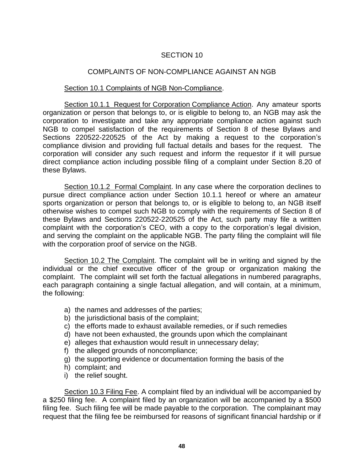## COMPLAINTS OF NON-COMPLIANCE AGAINST AN NGB

## Section 10.1 Complaints of NGB Non-Compliance.

Section 10.1.1 Request for Corporation Compliance Action. Any amateur sports organization or person that belongs to, or is eligible to belong to, an NGB may ask the corporation to investigate and take any appropriate compliance action against such NGB to compel satisfaction of the requirements of Section 8 of these Bylaws and Sections 220522-220525 of the Act by making a request to the corporation's compliance division and providing full factual details and bases for the request. The corporation will consider any such request and inform the requestor if it will pursue direct compliance action including possible filing of a complaint under Section 8.20 of these Bylaws.

Section 10.1.2 Formal Complaint. In any case where the corporation declines to pursue direct compliance action under Section 10.1.1 hereof or where an amateur sports organization or person that belongs to, or is eligible to belong to, an NGB itself otherwise wishes to compel such NGB to comply with the requirements of Section 8 of these Bylaws and Sections 220522-220525 of the Act, such party may file a written complaint with the corporation's CEO, with a copy to the corporation's legal division, and serving the complaint on the applicable NGB. The party filing the complaint will file with the corporation proof of service on the NGB.

Section 10.2 The Complaint. The complaint will be in writing and signed by the individual or the chief executive officer of the group or organization making the complaint. The complaint will set forth the factual allegations in numbered paragraphs, each paragraph containing a single factual allegation, and will contain, at a minimum, the following:

- a) the names and addresses of the parties;
- b) the jurisdictional basis of the complaint;
- c) the efforts made to exhaust available remedies, or if such remedies
- d) have not been exhausted, the grounds upon which the complainant
- e) alleges that exhaustion would result in unnecessary delay;
- f) the alleged grounds of noncompliance;
- g) the supporting evidence or documentation forming the basis of the
- h) complaint; and
- i) the relief sought.

Section 10.3 Filing Fee. A complaint filed by an individual will be accompanied by a \$250 filing fee. A complaint filed by an organization will be accompanied by a \$500 filing fee. Such filing fee will be made payable to the corporation. The complainant may request that the filing fee be reimbursed for reasons of significant financial hardship or if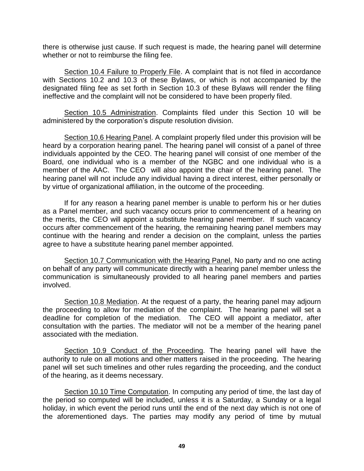there is otherwise just cause. If such request is made, the hearing panel will determine whether or not to reimburse the filing fee.

Section 10.4 Failure to Properly File. A complaint that is not filed in accordance with Sections 10.2 and 10.3 of these Bylaws, or which is not accompanied by the designated filing fee as set forth in Section 10.3 of these Bylaws will render the filing ineffective and the complaint will not be considered to have been properly filed.

Section 10.5 Administration. Complaints filed under this Section 10 will be administered by the corporation's dispute resolution division.

Section 10.6 Hearing Panel. A complaint properly filed under this provision will be heard by a corporation hearing panel. The hearing panel will consist of a panel of three individuals appointed by the CEO. The hearing panel will consist of one member of the Board, one individual who is a member of the NGBC and one individual who is a member of the AAC. The CEO will also appoint the chair of the hearing panel. The hearing panel will not include any individual having a direct interest, either personally or by virtue of organizational affiliation, in the outcome of the proceeding.

If for any reason a hearing panel member is unable to perform his or her duties as a Panel member, and such vacancy occurs prior to commencement of a hearing on the merits, the CEO will appoint a substitute hearing panel member. If such vacancy occurs after commencement of the hearing, the remaining hearing panel members may continue with the hearing and render a decision on the complaint, unless the parties agree to have a substitute hearing panel member appointed.

Section 10.7 Communication with the Hearing Panel. No party and no one acting on behalf of any party will communicate directly with a hearing panel member unless the communication is simultaneously provided to all hearing panel members and parties involved.

Section 10.8 Mediation. At the request of a party, the hearing panel may adjourn the proceeding to allow for mediation of the complaint. The hearing panel will set a deadline for completion of the mediation. The CEO will appoint a mediator, after consultation with the parties. The mediator will not be a member of the hearing panel associated with the mediation.

Section 10.9 Conduct of the Proceeding. The hearing panel will have the authority to rule on all motions and other matters raised in the proceeding. The hearing panel will set such timelines and other rules regarding the proceeding, and the conduct of the hearing, as it deems necessary.

Section 10.10 Time Computation. In computing any period of time, the last day of the period so computed will be included, unless it is a Saturday, a Sunday or a legal holiday, in which event the period runs until the end of the next day which is not one of the aforementioned days. The parties may modify any period of time by mutual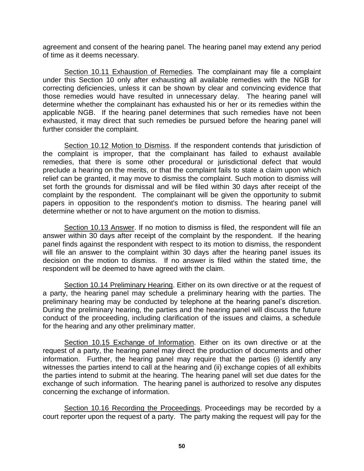agreement and consent of the hearing panel. The hearing panel may extend any period of time as it deems necessary.

Section 10.11 Exhaustion of Remedies. The complainant may file a complaint under this Section 10 only after exhausting all available remedies with the NGB for correcting deficiencies, unless it can be shown by clear and convincing evidence that those remedies would have resulted in unnecessary delay. The hearing panel will determine whether the complainant has exhausted his or her or its remedies within the applicable NGB. If the hearing panel determines that such remedies have not been exhausted, it may direct that such remedies be pursued before the hearing panel will further consider the complaint.

Section 10.12 Motion to Dismiss. If the respondent contends that jurisdiction of the complaint is improper, that the complainant has failed to exhaust available remedies, that there is some other procedural or jurisdictional defect that would preclude a hearing on the merits, or that the complaint fails to state a claim upon which relief can be granted, it may move to dismiss the complaint. Such motion to dismiss will set forth the grounds for dismissal and will be filed within 30 days after receipt of the complaint by the respondent. The complainant will be given the opportunity to submit papers in opposition to the respondent's motion to dismiss. The hearing panel will determine whether or not to have argument on the motion to dismiss.

Section 10.13 Answer. If no motion to dismiss is filed, the respondent will file an answer within 30 days after receipt of the complaint by the respondent. If the hearing panel finds against the respondent with respect to its motion to dismiss, the respondent will file an answer to the complaint within 30 days after the hearing panel issues its decision on the motion to dismiss. If no answer is filed within the stated time, the respondent will be deemed to have agreed with the claim.

Section 10.14 Preliminary Hearing. Either on its own directive or at the request of a party, the hearing panel may schedule a preliminary hearing with the parties. The preliminary hearing may be conducted by telephone at the hearing panel's discretion. During the preliminary hearing, the parties and the hearing panel will discuss the future conduct of the proceeding, including clarification of the issues and claims, a schedule for the hearing and any other preliminary matter.

Section 10.15 Exchange of Information. Either on its own directive or at the request of a party, the hearing panel may direct the production of documents and other information. Further, the hearing panel may require that the parties (i) identify any witnesses the parties intend to call at the hearing and (ii) exchange copies of all exhibits the parties intend to submit at the hearing. The hearing panel will set due dates for the exchange of such information. The hearing panel is authorized to resolve any disputes concerning the exchange of information.

Section 10.16 Recording the Proceedings. Proceedings may be recorded by a court reporter upon the request of a party. The party making the request will pay for the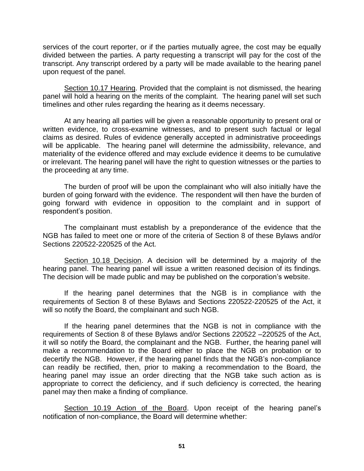services of the court reporter, or if the parties mutually agree, the cost may be equally divided between the parties. A party requesting a transcript will pay for the cost of the transcript. Any transcript ordered by a party will be made available to the hearing panel upon request of the panel.

Section 10.17 Hearing. Provided that the complaint is not dismissed, the hearing panel will hold a hearing on the merits of the complaint. The hearing panel will set such timelines and other rules regarding the hearing as it deems necessary.

At any hearing all parties will be given a reasonable opportunity to present oral or written evidence, to cross-examine witnesses, and to present such factual or legal claims as desired. Rules of evidence generally accepted in administrative proceedings will be applicable. The hearing panel will determine the admissibility, relevance, and materiality of the evidence offered and may exclude evidence it deems to be cumulative or irrelevant. The hearing panel will have the right to question witnesses or the parties to the proceeding at any time.

The burden of proof will be upon the complainant who will also initially have the burden of going forward with the evidence. The respondent will then have the burden of going forward with evidence in opposition to the complaint and in support of respondent's position.

The complainant must establish by a preponderance of the evidence that the NGB has failed to meet one or more of the criteria of Section 8 of these Bylaws and/or Sections 220522-220525 of the Act.

Section 10.18 Decision. A decision will be determined by a majority of the hearing panel. The hearing panel will issue a written reasoned decision of its findings. The decision will be made public and may be published on the corporation's website.

If the hearing panel determines that the NGB is in compliance with the requirements of Section 8 of these Bylaws and Sections 220522-220525 of the Act, it will so notify the Board, the complainant and such NGB.

If the hearing panel determines that the NGB is not in compliance with the requirements of Section 8 of these Bylaws and/or Sections 220522 –220525 of the Act, it will so notify the Board, the complainant and the NGB. Further, the hearing panel will make a recommendation to the Board either to place the NGB on probation or to decertify the NGB. However, if the hearing panel finds that the NGB's non-compliance can readily be rectified, then, prior to making a recommendation to the Board, the hearing panel may issue an order directing that the NGB take such action as is appropriate to correct the deficiency, and if such deficiency is corrected, the hearing panel may then make a finding of compliance.

Section 10.19 Action of the Board. Upon receipt of the hearing panel's notification of non-compliance, the Board will determine whether: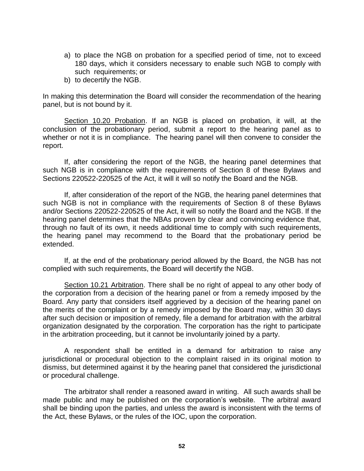- a) to place the NGB on probation for a specified period of time, not to exceed 180 days, which it considers necessary to enable such NGB to comply with such requirements; or
- b) to decertify the NGB.

In making this determination the Board will consider the recommendation of the hearing panel, but is not bound by it.

Section 10.20 Probation. If an NGB is placed on probation, it will, at the conclusion of the probationary period, submit a report to the hearing panel as to whether or not it is in compliance. The hearing panel will then convene to consider the report.

If, after considering the report of the NGB, the hearing panel determines that such NGB is in compliance with the requirements of Section 8 of these Bylaws and Sections 220522-220525 of the Act, it will it will so notify the Board and the NGB.

If, after consideration of the report of the NGB, the hearing panel determines that such NGB is not in compliance with the requirements of Section 8 of these Bylaws and/or Sections 220522-220525 of the Act, it will so notify the Board and the NGB. If the hearing panel determines that the NBAs proven by clear and convincing evidence that, through no fault of its own, it needs additional time to comply with such requirements, the hearing panel may recommend to the Board that the probationary period be extended.

If, at the end of the probationary period allowed by the Board, the NGB has not complied with such requirements, the Board will decertify the NGB.

Section 10.21 Arbitration. There shall be no right of appeal to any other body of the corporation from a decision of the hearing panel or from a remedy imposed by the Board. Any party that considers itself aggrieved by a decision of the hearing panel on the merits of the complaint or by a remedy imposed by the Board may, within 30 days after such decision or imposition of remedy, file a demand for arbitration with the arbitral organization designated by the corporation. The corporation has the right to participate in the arbitration proceeding, but it cannot be involuntarily joined by a party.

A respondent shall be entitled in a demand for arbitration to raise any jurisdictional or procedural objection to the complaint raised in its original motion to dismiss, but determined against it by the hearing panel that considered the jurisdictional or procedural challenge.

The arbitrator shall render a reasoned award in writing. All such awards shall be made public and may be published on the corporation's website. The arbitral award shall be binding upon the parties, and unless the award is inconsistent with the terms of the Act, these Bylaws, or the rules of the IOC, upon the corporation.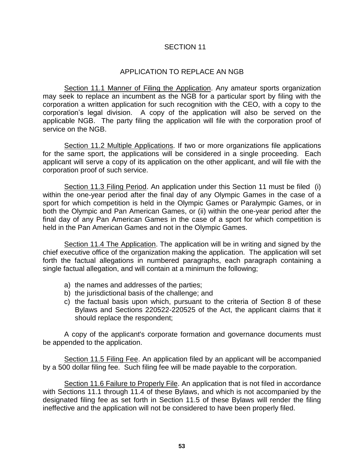#### APPLICATION TO REPLACE AN NGB

Section 11.1 Manner of Filing the Application. Any amateur sports organization may seek to replace an incumbent as the NGB for a particular sport by filing with the corporation a written application for such recognition with the CEO, with a copy to the corporation's legal division. A copy of the application will also be served on the applicable NGB. The party filing the application will file with the corporation proof of service on the NGB.

Section 11.2 Multiple Applications. If two or more organizations file applications for the same sport, the applications will be considered in a single proceeding. Each applicant will serve a copy of its application on the other applicant, and will file with the corporation proof of such service.

Section 11.3 Filing Period. An application under this Section 11 must be filed (i) within the one-year period after the final day of any Olympic Games in the case of a sport for which competition is held in the Olympic Games or Paralympic Games, or in both the Olympic and Pan American Games, or (ii) within the one-year period after the final day of any Pan American Games in the case of a sport for which competition is held in the Pan American Games and not in the Olympic Games.

Section 11.4 The Application. The application will be in writing and signed by the chief executive office of the organization making the application. The application will set forth the factual allegations in numbered paragraphs, each paragraph containing a single factual allegation, and will contain at a minimum the following;

- a) the names and addresses of the parties;
- b) the jurisdictional basis of the challenge; and
- c) the factual basis upon which, pursuant to the criteria of Section 8 of these Bylaws and Sections 220522-220525 of the Act, the applicant claims that it should replace the respondent;

A copy of the applicant's corporate formation and governance documents must be appended to the application.

Section 11.5 Filing Fee. An application filed by an applicant will be accompanied by a 500 dollar filing fee. Such filing fee will be made payable to the corporation.

Section 11.6 Failure to Properly File. An application that is not filed in accordance with Sections 11.1 through 11.4 of these Bylaws, and which is not accompanied by the designated filing fee as set forth in Section 11.5 of these Bylaws will render the filing ineffective and the application will not be considered to have been properly filed.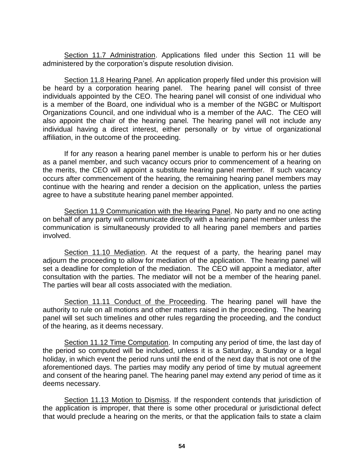Section 11.7 Administration. Applications filed under this Section 11 will be administered by the corporation's dispute resolution division.

Section 11.8 Hearing Panel. An application properly filed under this provision will be heard by a corporation hearing panel. The hearing panel will consist of three individuals appointed by the CEO. The hearing panel will consist of one individual who is a member of the Board, one individual who is a member of the NGBC or Multisport Organizations Council, and one individual who is a member of the AAC. The CEO will also appoint the chair of the hearing panel. The hearing panel will not include any individual having a direct interest, either personally or by virtue of organizational affiliation, in the outcome of the proceeding.

If for any reason a hearing panel member is unable to perform his or her duties as a panel member, and such vacancy occurs prior to commencement of a hearing on the merits, the CEO will appoint a substitute hearing panel member. If such vacancy occurs after commencement of the hearing, the remaining hearing panel members may continue with the hearing and render a decision on the application, unless the parties agree to have a substitute hearing panel member appointed.

Section 11.9 Communication with the Hearing Panel. No party and no one acting on behalf of any party will communicate directly with a hearing panel member unless the communication is simultaneously provided to all hearing panel members and parties involved.

Section 11.10 Mediation. At the request of a party, the hearing panel may adjourn the proceeding to allow for mediation of the application. The hearing panel will set a deadline for completion of the mediation. The CEO will appoint a mediator, after consultation with the parties. The mediator will not be a member of the hearing panel. The parties will bear all costs associated with the mediation.

Section 11.11 Conduct of the Proceeding. The hearing panel will have the authority to rule on all motions and other matters raised in the proceeding. The hearing panel will set such timelines and other rules regarding the proceeding, and the conduct of the hearing, as it deems necessary.

Section 11.12 Time Computation. In computing any period of time, the last day of the period so computed will be included, unless it is a Saturday, a Sunday or a legal holiday, in which event the period runs until the end of the next day that is not one of the aforementioned days. The parties may modify any period of time by mutual agreement and consent of the hearing panel. The hearing panel may extend any period of time as it deems necessary.

Section 11.13 Motion to Dismiss. If the respondent contends that jurisdiction of the application is improper, that there is some other procedural or jurisdictional defect that would preclude a hearing on the merits, or that the application fails to state a claim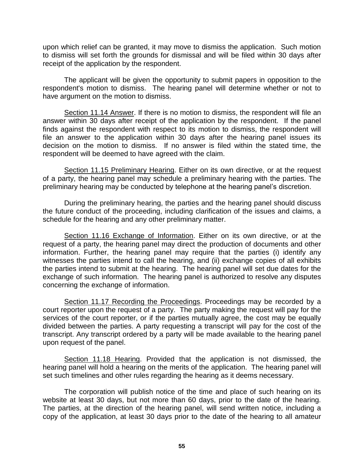upon which relief can be granted, it may move to dismiss the application. Such motion to dismiss will set forth the grounds for dismissal and will be filed within 30 days after receipt of the application by the respondent.

The applicant will be given the opportunity to submit papers in opposition to the respondent's motion to dismiss. The hearing panel will determine whether or not to have argument on the motion to dismiss.

Section 11.14 Answer. If there is no motion to dismiss, the respondent will file an answer within 30 days after receipt of the application by the respondent. If the panel finds against the respondent with respect to its motion to dismiss, the respondent will file an answer to the application within 30 days after the hearing panel issues its decision on the motion to dismiss. If no answer is filed within the stated time, the respondent will be deemed to have agreed with the claim.

Section 11.15 Preliminary Hearing. Either on its own directive, or at the request of a party, the hearing panel may schedule a preliminary hearing with the parties. The preliminary hearing may be conducted by telephone at the hearing panel's discretion.

During the preliminary hearing, the parties and the hearing panel should discuss the future conduct of the proceeding, including clarification of the issues and claims, a schedule for the hearing and any other preliminary matter.

Section 11.16 Exchange of Information. Either on its own directive, or at the request of a party, the hearing panel may direct the production of documents and other information. Further, the hearing panel may require that the parties (i) identify any witnesses the parties intend to call the hearing, and (ii) exchange copies of all exhibits the parties intend to submit at the hearing. The hearing panel will set due dates for the exchange of such information. The hearing panel is authorized to resolve any disputes concerning the exchange of information.

Section 11.17 Recording the Proceedings. Proceedings may be recorded by a court reporter upon the request of a party. The party making the request will pay for the services of the court reporter, or if the parties mutually agree, the cost may be equally divided between the parties. A party requesting a transcript will pay for the cost of the transcript. Any transcript ordered by a party will be made available to the hearing panel upon request of the panel.

Section 11.18 Hearing. Provided that the application is not dismissed, the hearing panel will hold a hearing on the merits of the application. The hearing panel will set such timelines and other rules regarding the hearing as it deems necessary.

The corporation will publish notice of the time and place of such hearing on its website at least 30 days, but not more than 60 days, prior to the date of the hearing. The parties, at the direction of the hearing panel, will send written notice, including a copy of the application, at least 30 days prior to the date of the hearing to all amateur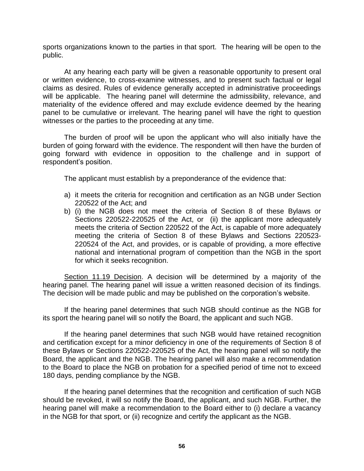sports organizations known to the parties in that sport. The hearing will be open to the public.

At any hearing each party will be given a reasonable opportunity to present oral or written evidence, to cross-examine witnesses, and to present such factual or legal claims as desired. Rules of evidence generally accepted in administrative proceedings will be applicable. The hearing panel will determine the admissibility, relevance, and materiality of the evidence offered and may exclude evidence deemed by the hearing panel to be cumulative or irrelevant. The hearing panel will have the right to question witnesses or the parties to the proceeding at any time.

The burden of proof will be upon the applicant who will also initially have the burden of going forward with the evidence. The respondent will then have the burden of going forward with evidence in opposition to the challenge and in support of respondent's position.

The applicant must establish by a preponderance of the evidence that:

- a) it meets the criteria for recognition and certification as an NGB under Section 220522 of the Act; and
- b) (i) the NGB does not meet the criteria of Section 8 of these Bylaws or Sections 220522-220525 of the Act, or (ii) the applicant more adequately meets the criteria of Section 220522 of the Act, is capable of more adequately meeting the criteria of Section 8 of these Bylaws and Sections 220523- 220524 of the Act, and provides, or is capable of providing, a more effective national and international program of competition than the NGB in the sport for which it seeks recognition.

Section 11.19 Decision. A decision will be determined by a majority of the hearing panel. The hearing panel will issue a written reasoned decision of its findings. The decision will be made public and may be published on the corporation's website.

If the hearing panel determines that such NGB should continue as the NGB for its sport the hearing panel will so notify the Board, the applicant and such NGB.

If the hearing panel determines that such NGB would have retained recognition and certification except for a minor deficiency in one of the requirements of Section 8 of these Bylaws or Sections 220522-220525 of the Act, the hearing panel will so notify the Board, the applicant and the NGB. The hearing panel will also make a recommendation to the Board to place the NGB on probation for a specified period of time not to exceed 180 days, pending compliance by the NGB.

If the hearing panel determines that the recognition and certification of such NGB should be revoked, it will so notify the Board, the applicant, and such NGB. Further, the hearing panel will make a recommendation to the Board either to (i) declare a vacancy in the NGB for that sport, or (ii) recognize and certify the applicant as the NGB.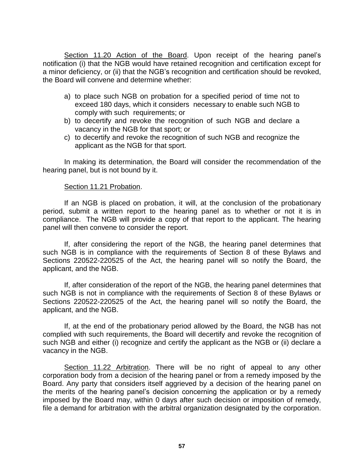Section 11.20 Action of the Board. Upon receipt of the hearing panel's notification (i) that the NGB would have retained recognition and certification except for a minor deficiency, or (ii) that the NGB's recognition and certification should be revoked, the Board will convene and determine whether:

- a) to place such NGB on probation for a specified period of time not to exceed 180 days, which it considers necessary to enable such NGB to comply with such requirements; or
- b) to decertify and revoke the recognition of such NGB and declare a vacancy in the NGB for that sport; or
- c) to decertify and revoke the recognition of such NGB and recognize the applicant as the NGB for that sport.

In making its determination, the Board will consider the recommendation of the hearing panel, but is not bound by it.

### Section 11.21 Probation.

If an NGB is placed on probation, it will, at the conclusion of the probationary period, submit a written report to the hearing panel as to whether or not it is in compliance. The NGB will provide a copy of that report to the applicant. The hearing panel will then convene to consider the report.

If, after considering the report of the NGB, the hearing panel determines that such NGB is in compliance with the requirements of Section 8 of these Bylaws and Sections 220522-220525 of the Act, the hearing panel will so notify the Board, the applicant, and the NGB.

If, after consideration of the report of the NGB, the hearing panel determines that such NGB is not in compliance with the requirements of Section 8 of these Bylaws or Sections 220522-220525 of the Act, the hearing panel will so notify the Board, the applicant, and the NGB.

If, at the end of the probationary period allowed by the Board, the NGB has not complied with such requirements, the Board will decertify and revoke the recognition of such NGB and either (i) recognize and certify the applicant as the NGB or (ii) declare a vacancy in the NGB.

Section 11.22 Arbitration. There will be no right of appeal to any other corporation body from a decision of the hearing panel or from a remedy imposed by the Board. Any party that considers itself aggrieved by a decision of the hearing panel on the merits of the hearing panel's decision concerning the application or by a remedy imposed by the Board may, within 0 days after such decision or imposition of remedy, file a demand for arbitration with the arbitral organization designated by the corporation.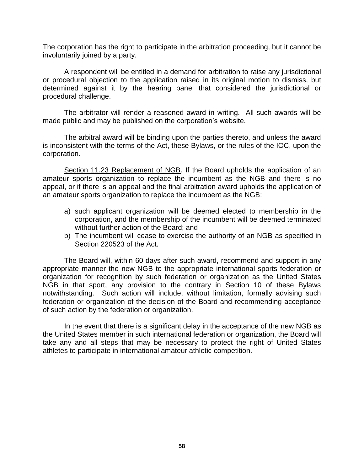The corporation has the right to participate in the arbitration proceeding, but it cannot be involuntarily joined by a party.

A respondent will be entitled in a demand for arbitration to raise any jurisdictional or procedural objection to the application raised in its original motion to dismiss, but determined against it by the hearing panel that considered the jurisdictional or procedural challenge.

The arbitrator will render a reasoned award in writing. All such awards will be made public and may be published on the corporation's website.

The arbitral award will be binding upon the parties thereto, and unless the award is inconsistent with the terms of the Act, these Bylaws, or the rules of the IOC, upon the corporation.

Section 11.23 Replacement of NGB. If the Board upholds the application of an amateur sports organization to replace the incumbent as the NGB and there is no appeal, or if there is an appeal and the final arbitration award upholds the application of an amateur sports organization to replace the incumbent as the NGB:

- a) such applicant organization will be deemed elected to membership in the corporation, and the membership of the incumbent will be deemed terminated without further action of the Board; and
- b) The incumbent will cease to exercise the authority of an NGB as specified in Section 220523 of the Act.

The Board will, within 60 days after such award, recommend and support in any appropriate manner the new NGB to the appropriate international sports federation or organization for recognition by such federation or organization as the United States NGB in that sport, any provision to the contrary in Section 10 of these Bylaws notwithstanding. Such action will include, without limitation, formally advising such federation or organization of the decision of the Board and recommending acceptance of such action by the federation or organization.

In the event that there is a significant delay in the acceptance of the new NGB as the United States member in such international federation or organization, the Board will take any and all steps that may be necessary to protect the right of United States athletes to participate in international amateur athletic competition.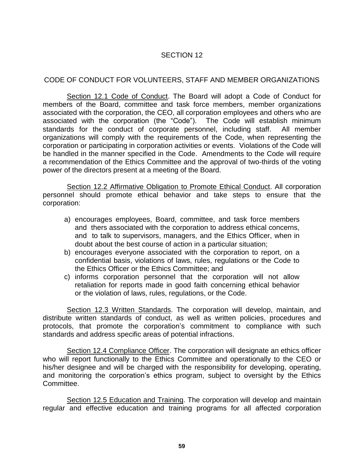# CODE OF CONDUCT FOR VOLUNTEERS, STAFF AND MEMBER ORGANIZATIONS

Section 12.1 Code of Conduct. The Board will adopt a Code of Conduct for members of the Board, committee and task force members, member organizations associated with the corporation, the CEO, all corporation employees and others who are associated with the corporation (the "Code"). The Code will establish minimum standards for the conduct of corporate personnel, including staff. All member organizations will comply with the requirements of the Code, when representing the corporation or participating in corporation activities or events. Violations of the Code will be handled in the manner specified in the Code. Amendments to the Code will require a recommendation of the Ethics Committee and the approval of two-thirds of the voting power of the directors present at a meeting of the Board.

Section 12.2 Affirmative Obligation to Promote Ethical Conduct. All corporation personnel should promote ethical behavior and take steps to ensure that the corporation:

- a) encourages employees, Board, committee, and task force members and thers associated with the corporation to address ethical concerns, and to talk to supervisors, managers, and the Ethics Officer, when in doubt about the best course of action in a particular situation;
- b) encourages everyone associated with the corporation to report, on a confidential basis, violations of laws, rules, regulations or the Code to the Ethics Officer or the Ethics Committee; and
- c) informs corporation personnel that the corporation will not allow retaliation for reports made in good faith concerning ethical behavior or the violation of laws, rules, regulations, or the Code.

Section 12.3 Written Standards. The corporation will develop, maintain, and distribute written standards of conduct, as well as written policies, procedures and protocols, that promote the corporation's commitment to compliance with such standards and address specific areas of potential infractions.

Section 12.4 Compliance Officer. The corporation will designate an ethics officer who will report functionally to the Ethics Committee and operationally to the CEO or his/her designee and will be charged with the responsibility for developing, operating, and monitoring the corporation's ethics program, subject to oversight by the Ethics Committee.

Section 12.5 Education and Training. The corporation will develop and maintain regular and effective education and training programs for all affected corporation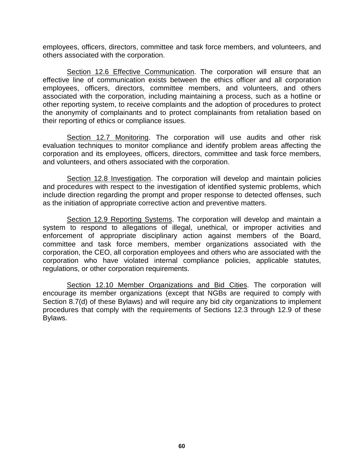employees, officers, directors, committee and task force members, and volunteers, and others associated with the corporation.

Section 12.6 Effective Communication. The corporation will ensure that an effective line of communication exists between the ethics officer and all corporation employees, officers, directors, committee members, and volunteers, and others associated with the corporation, including maintaining a process, such as a hotline or other reporting system, to receive complaints and the adoption of procedures to protect the anonymity of complainants and to protect complainants from retaliation based on their reporting of ethics or compliance issues.

Section 12.7 Monitoring. The corporation will use audits and other risk evaluation techniques to monitor compliance and identify problem areas affecting the corporation and its employees, officers, directors, committee and task force members, and volunteers, and others associated with the corporation.

Section 12.8 Investigation. The corporation will develop and maintain policies and procedures with respect to the investigation of identified systemic problems, which include direction regarding the prompt and proper response to detected offenses, such as the initiation of appropriate corrective action and preventive matters.

Section 12.9 Reporting Systems. The corporation will develop and maintain a system to respond to allegations of illegal, unethical, or improper activities and enforcement of appropriate disciplinary action against members of the Board, committee and task force members, member organizations associated with the corporation, the CEO, all corporation employees and others who are associated with the corporation who have violated internal compliance policies, applicable statutes, regulations, or other corporation requirements.

Section 12.10 Member Organizations and Bid Cities. The corporation will encourage its member organizations (except that NGBs are required to comply with Section 8.7(d) of these Bylaws) and will require any bid city organizations to implement procedures that comply with the requirements of Sections 12.3 through 12.9 of these Bylaws.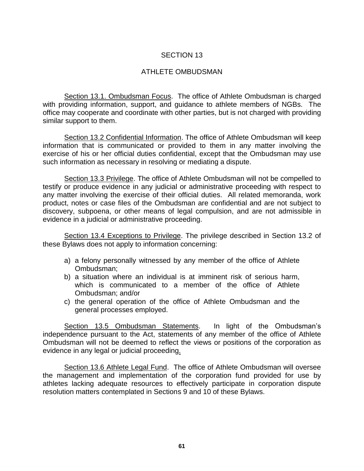## ATHLETE OMBUDSMAN

Section 13.1. Ombudsman Focus. The office of Athlete Ombudsman is charged with providing information, support, and guidance to athlete members of NGBs. The office may cooperate and coordinate with other parties, but is not charged with providing similar support to them.

Section 13.2 Confidential Information. The office of Athlete Ombudsman will keep information that is communicated or provided to them in any matter involving the exercise of his or her official duties confidential, except that the Ombudsman may use such information as necessary in resolving or mediating a dispute.

Section 13.3 Privilege. The office of Athlete Ombudsman will not be compelled to testify or produce evidence in any judicial or administrative proceeding with respect to any matter involving the exercise of their official duties. All related memoranda, work product, notes or case files of the Ombudsman are confidential and are not subject to discovery, subpoena, or other means of legal compulsion, and are not admissible in evidence in a judicial or administrative proceeding.

Section 13.4 Exceptions to Privilege. The privilege described in Section 13.2 of these Bylaws does not apply to information concerning:

- a) a felony personally witnessed by any member of the office of Athlete Ombudsman;
- b) a situation where an individual is at imminent risk of serious harm, which is communicated to a member of the office of Athlete Ombudsman; and/or
- c) the general operation of the office of Athlete Ombudsman and the general processes employed.

Section 13.5 Ombudsman Statements. In light of the Ombudsman's independence pursuant to the Act, statements of any member of the office of Athlete Ombudsman will not be deemed to reflect the views or positions of the corporation as evidence in any legal or judicial proceeding.

Section 13.6 Athlete Legal Fund. The office of Athlete Ombudsman will oversee the management and implementation of the corporation fund provided for use by athletes lacking adequate resources to effectively participate in corporation dispute resolution matters contemplated in Sections 9 and 10 of these Bylaws.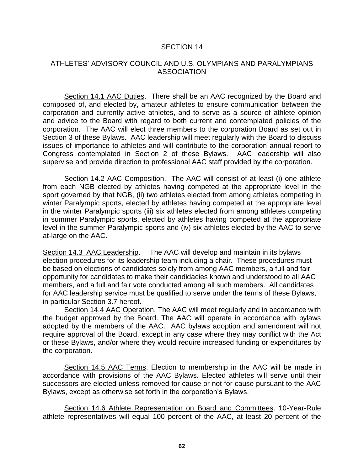## ATHLETES' ADVISORY COUNCIL AND U.S. OLYMPIANS AND PARALYMPIANS ASSOCIATION

Section 14.1 AAC Duties. There shall be an AAC recognized by the Board and composed of, and elected by, amateur athletes to ensure communication between the corporation and currently active athletes, and to serve as a source of athlete opinion and advice to the Board with regard to both current and contemplated policies of the corporation. The AAC will elect three members to the corporation Board as set out in Section 3 of these Bylaws. AAC leadership will meet regularly with the Board to discuss issues of importance to athletes and will contribute to the corporation annual report to Congress contemplated in Section 2 of these Bylaws. AAC leadership will also supervise and provide direction to professional AAC staff provided by the corporation.

Section 14.2 AAC Composition. The AAC will consist of at least (i) one athlete from each NGB elected by athletes having competed at the appropriate level in the sport governed by that NGB, (ii) two athletes elected from among athletes competing in winter Paralympic sports, elected by athletes having competed at the appropriate level in the winter Paralympic sports (iii) six athletes elected from among athletes competing in summer Paralympic sports, elected by athletes having competed at the appropriate level in the summer Paralympic sports and (iv) six athletes elected by the AAC to serve at-large on the AAC.

Section 14.3 AAC Leadership. The AAC will develop and maintain in its bylaws election procedures for its leadership team including a chair. These procedures must be based on elections of candidates solely from among AAC members, a full and fair opportunity for candidates to make their candidacies known and understood to all AAC members, and a full and fair vote conducted among all such members. All candidates for AAC leadership service must be qualified to serve under the terms of these Bylaws, in particular Section 3.7 hereof.

Section 14.4 AAC Operation. The AAC will meet regularly and in accordance with the budget approved by the Board. The AAC will operate in accordance with bylaws adopted by the members of the AAC. AAC bylaws adoption and amendment will not require approval of the Board, except in any case where they may conflict with the Act or these Bylaws, and/or where they would require increased funding or expenditures by the corporation.

Section 14.5 AAC Terms. Election to membership in the AAC will be made in accordance with provisions of the AAC Bylaws. Elected athletes will serve until their successors are elected unless removed for cause or not for cause pursuant to the AAC Bylaws, except as otherwise set forth in the corporation's Bylaws.

Section 14.6 Athlete Representation on Board and Committees. 10-Year-Rule athlete representatives will equal 100 percent of the AAC, at least 20 percent of the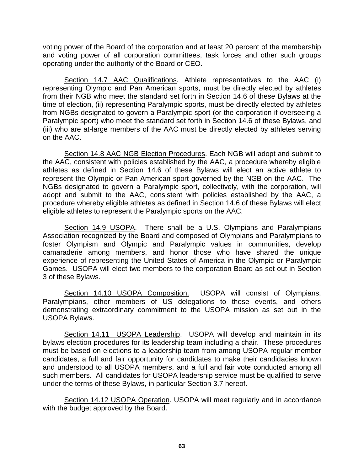voting power of the Board of the corporation and at least 20 percent of the membership and voting power of all corporation committees, task forces and other such groups operating under the authority of the Board or CEO.

Section 14.7 AAC Qualifications. Athlete representatives to the AAC (i) representing Olympic and Pan American sports, must be directly elected by athletes from their NGB who meet the standard set forth in Section 14.6 of these Bylaws at the time of election, (ii) representing Paralympic sports, must be directly elected by athletes from NGBs designated to govern a Paralympic sport (or the corporation if overseeing a Paralympic sport) who meet the standard set forth in Section 14.6 of these Bylaws, and (iii) who are at-large members of the AAC must be directly elected by athletes serving on the AAC.

Section 14.8 AAC NGB Election Procedures. Each NGB will adopt and submit to the AAC, consistent with policies established by the AAC, a procedure whereby eligible athletes as defined in Section 14.6 of these Bylaws will elect an active athlete to represent the Olympic or Pan American sport governed by the NGB on the AAC. The NGBs designated to govern a Paralympic sport, collectively, with the corporation, will adopt and submit to the AAC, consistent with policies established by the AAC, a procedure whereby eligible athletes as defined in Section 14.6 of these Bylaws will elect eligible athletes to represent the Paralympic sports on the AAC.

Section 14.9 USOPA. There shall be a U.S. Olympians and Paralympians Association recognized by the Board and composed of Olympians and Paralympians to foster Olympism and Olympic and Paralympic values in communities, develop camaraderie among members, and honor those who have shared the unique experience of representing the United States of America in the Olympic or Paralympic Games. USOPA will elect two members to the corporation Board as set out in Section 3 of these Bylaws.

Section 14.10 USOPA Composition. USOPA will consist of Olympians, Paralympians, other members of US delegations to those events, and others demonstrating extraordinary commitment to the USOPA mission as set out in the USOPA Bylaws.

Section 14.11 USOPA Leadership. USOPA will develop and maintain in its bylaws election procedures for its leadership team including a chair. These procedures must be based on elections to a leadership team from among USOPA regular member candidates, a full and fair opportunity for candidates to make their candidacies known and understood to all USOPA members, and a full and fair vote conducted among all such members. All candidates for USOPA leadership service must be qualified to serve under the terms of these Bylaws, in particular Section 3.7 hereof.

Section 14.12 USOPA Operation. USOPA will meet regularly and in accordance with the budget approved by the Board.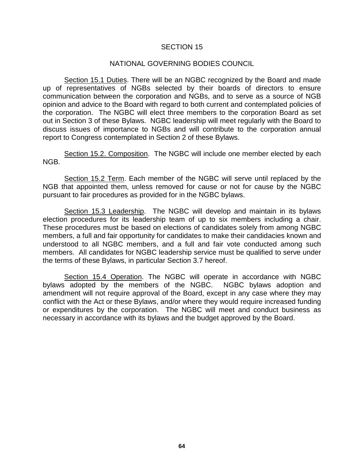#### NATIONAL GOVERNING BODIES COUNCIL

Section 15.1 Duties. There will be an NGBC recognized by the Board and made up of representatives of NGBs selected by their boards of directors to ensure communication between the corporation and NGBs, and to serve as a source of NGB opinion and advice to the Board with regard to both current and contemplated policies of the corporation. The NGBC will elect three members to the corporation Board as set out in Section 3 of these Bylaws. NGBC leadership will meet regularly with the Board to discuss issues of importance to NGBs and will contribute to the corporation annual report to Congress contemplated in Section 2 of these Bylaws.

Section 15.2. Composition. The NGBC will include one member elected by each NGB.

Section 15.2 Term. Each member of the NGBC will serve until replaced by the NGB that appointed them, unless removed for cause or not for cause by the NGBC pursuant to fair procedures as provided for in the NGBC bylaws.

Section 15.3 Leadership. The NGBC will develop and maintain in its bylaws election procedures for its leadership team of up to six members including a chair. These procedures must be based on elections of candidates solely from among NGBC members, a full and fair opportunity for candidates to make their candidacies known and understood to all NGBC members, and a full and fair vote conducted among such members. All candidates for NGBC leadership service must be qualified to serve under the terms of these Bylaws, in particular Section 3.7 hereof.

Section 15.4 Operation. The NGBC will operate in accordance with NGBC bylaws adopted by the members of the NGBC. NGBC bylaws adoption and amendment will not require approval of the Board, except in any case where they may conflict with the Act or these Bylaws, and/or where they would require increased funding or expenditures by the corporation. The NGBC will meet and conduct business as necessary in accordance with its bylaws and the budget approved by the Board.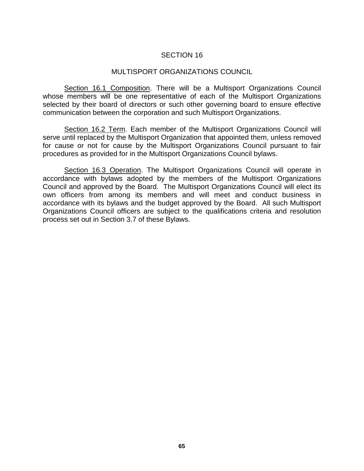#### MULTISPORT ORGANIZATIONS COUNCIL

Section 16.1 Composition. There will be a Multisport Organizations Council whose members will be one representative of each of the Multisport Organizations selected by their board of directors or such other governing board to ensure effective communication between the corporation and such Multisport Organizations.

Section 16.2 Term. Each member of the Multisport Organizations Council will serve until replaced by the Multisport Organization that appointed them, unless removed for cause or not for cause by the Multisport Organizations Council pursuant to fair procedures as provided for in the Multisport Organizations Council bylaws.

Section 16.3 Operation. The Multisport Organizations Council will operate in accordance with bylaws adopted by the members of the Multisport Organizations Council and approved by the Board. The Multisport Organizations Council will elect its own officers from among its members and will meet and conduct business in accordance with its bylaws and the budget approved by the Board. All such Multisport Organizations Council officers are subject to the qualifications criteria and resolution process set out in Section 3.7 of these Bylaws.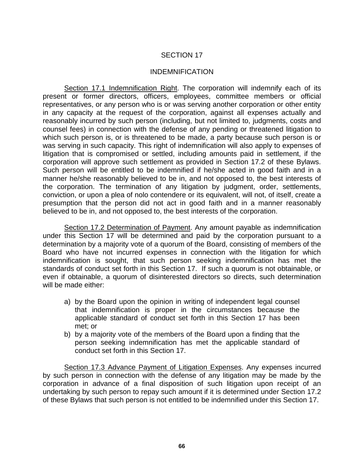#### INDEMNIFICATION

Section 17.1 Indemnification Right. The corporation will indemnify each of its present or former directors, officers, employees, committee members or official representatives, or any person who is or was serving another corporation or other entity in any capacity at the request of the corporation, against all expenses actually and reasonably incurred by such person (including, but not limited to, judgments, costs and counsel fees) in connection with the defense of any pending or threatened litigation to which such person is, or is threatened to be made, a party because such person is or was serving in such capacity. This right of indemnification will also apply to expenses of litigation that is compromised or settled, including amounts paid in settlement, if the corporation will approve such settlement as provided in Section 17.2 of these Bylaws. Such person will be entitled to be indemnified if he/she acted in good faith and in a manner he/she reasonably believed to be in, and not opposed to, the best interests of the corporation. The termination of any litigation by judgment, order, settlements, conviction, or upon a plea of nolo contendere or its equivalent, will not, of itself, create a presumption that the person did not act in good faith and in a manner reasonably believed to be in, and not opposed to, the best interests of the corporation.

Section 17.2 Determination of Payment. Any amount payable as indemnification under this Section 17 will be determined and paid by the corporation pursuant to a determination by a majority vote of a quorum of the Board, consisting of members of the Board who have not incurred expenses in connection with the litigation for which indemnification is sought, that such person seeking indemnification has met the standards of conduct set forth in this Section 17. If such a quorum is not obtainable, or even if obtainable, a quorum of disinterested directors so directs, such determination will be made either:

- a) by the Board upon the opinion in writing of independent legal counsel that indemnification is proper in the circumstances because the applicable standard of conduct set forth in this Section 17 has been met; or
- b) by a majority vote of the members of the Board upon a finding that the person seeking indemnification has met the applicable standard of conduct set forth in this Section 17.

Section 17.3 Advance Payment of Litigation Expenses. Any expenses incurred by such person in connection with the defense of any litigation may be made by the corporation in advance of a final disposition of such litigation upon receipt of an undertaking by such person to repay such amount if it is determined under Section 17.2 of these Bylaws that such person is not entitled to be indemnified under this Section 17.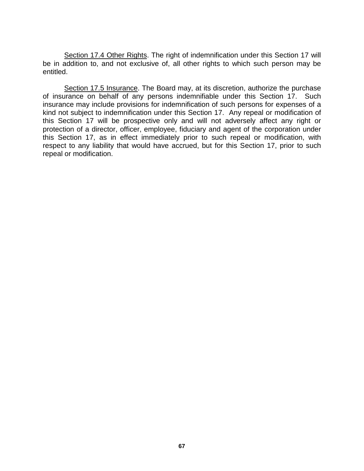Section 17.4 Other Rights. The right of indemnification under this Section 17 will be in addition to, and not exclusive of, all other rights to which such person may be entitled.

Section 17.5 Insurance. The Board may, at its discretion, authorize the purchase of insurance on behalf of any persons indemnifiable under this Section 17. Such insurance may include provisions for indemnification of such persons for expenses of a kind not subject to indemnification under this Section 17. Any repeal or modification of this Section 17 will be prospective only and will not adversely affect any right or protection of a director, officer, employee, fiduciary and agent of the corporation under this Section 17, as in effect immediately prior to such repeal or modification, with respect to any liability that would have accrued, but for this Section 17, prior to such repeal or modification.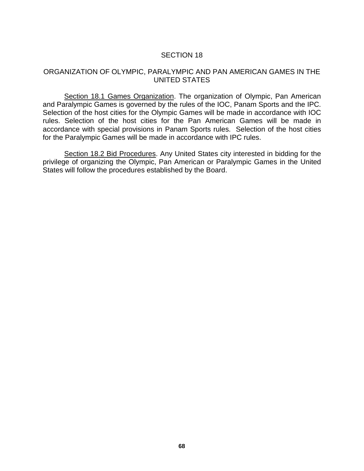#### ORGANIZATION OF OLYMPIC, PARALYMPIC AND PAN AMERICAN GAMES IN THE UNITED STATES

Section 18.1 Games Organization. The organization of Olympic, Pan American and Paralympic Games is governed by the rules of the IOC, Panam Sports and the IPC. Selection of the host cities for the Olympic Games will be made in accordance with IOC rules. Selection of the host cities for the Pan American Games will be made in accordance with special provisions in Panam Sports rules. Selection of the host cities for the Paralympic Games will be made in accordance with IPC rules.

Section 18.2 Bid Procedures. Any United States city interested in bidding for the privilege of organizing the Olympic, Pan American or Paralympic Games in the United States will follow the procedures established by the Board.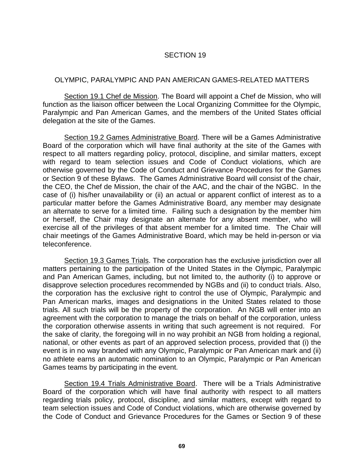## OLYMPIC, PARALYMPIC AND PAN AMERICAN GAMES-RELATED MATTERS

Section 19.1 Chef de Mission. The Board will appoint a Chef de Mission, who will function as the liaison officer between the Local Organizing Committee for the Olympic, Paralympic and Pan American Games, and the members of the United States official delegation at the site of the Games.

Section 19.2 Games Administrative Board. There will be a Games Administrative Board of the corporation which will have final authority at the site of the Games with respect to all matters regarding policy, protocol, discipline, and similar matters, except with regard to team selection issues and Code of Conduct violations, which are otherwise governed by the Code of Conduct and Grievance Procedures for the Games or Section 9 of these Bylaws. The Games Administrative Board will consist of the chair, the CEO, the Chef de Mission, the chair of the AAC, and the chair of the NGBC. In the case of (i) his/her unavailability or (ii) an actual or apparent conflict of interest as to a particular matter before the Games Administrative Board, any member may designate an alternate to serve for a limited time. Failing such a designation by the member him or herself, the Chair may designate an alternate for any absent member, who will exercise all of the privileges of that absent member for a limited time. The Chair will chair meetings of the Games Administrative Board, which may be held in-person or via teleconference.

Section 19.3 Games Trials. The corporation has the exclusive jurisdiction over all matters pertaining to the participation of the United States in the Olympic, Paralympic and Pan American Games, including, but not limited to, the authority (i) to approve or disapprove selection procedures recommended by NGBs and (ii) to conduct trials. Also, the corporation has the exclusive right to control the use of Olympic, Paralympic and Pan American marks, images and designations in the United States related to those trials. All such trials will be the property of the corporation. An NGB will enter into an agreement with the corporation to manage the trials on behalf of the corporation, unless the corporation otherwise assents in writing that such agreement is not required. For the sake of clarity, the foregoing will in no way prohibit an NGB from holding a regional, national, or other events as part of an approved selection process, provided that (i) the event is in no way branded with any Olympic, Paralympic or Pan American mark and (ii) no athlete earns an automatic nomination to an Olympic, Paralympic or Pan American Games teams by participating in the event.

Section 19.4 Trials Administrative Board. There will be a Trials Administrative Board of the corporation which will have final authority with respect to all matters regarding trials policy, protocol, discipline, and similar matters, except with regard to team selection issues and Code of Conduct violations, which are otherwise governed by the Code of Conduct and Grievance Procedures for the Games or Section 9 of these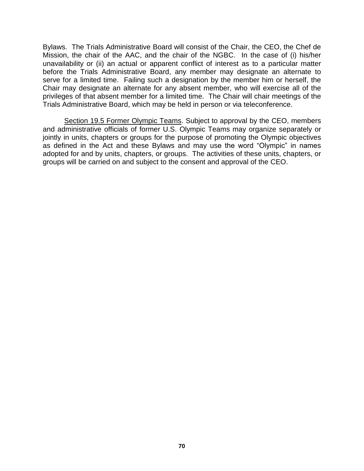Bylaws. The Trials Administrative Board will consist of the Chair, the CEO, the Chef de Mission, the chair of the AAC, and the chair of the NGBC. In the case of (i) his/her unavailability or (ii) an actual or apparent conflict of interest as to a particular matter before the Trials Administrative Board, any member may designate an alternate to serve for a limited time. Failing such a designation by the member him or herself, the Chair may designate an alternate for any absent member, who will exercise all of the privileges of that absent member for a limited time. The Chair will chair meetings of the Trials Administrative Board, which may be held in person or via teleconference.

Section 19.5 Former Olympic Teams. Subject to approval by the CEO, members and administrative officials of former U.S. Olympic Teams may organize separately or jointly in units, chapters or groups for the purpose of promoting the Olympic objectives as defined in the Act and these Bylaws and may use the word "Olympic" in names adopted for and by units, chapters, or groups. The activities of these units, chapters, or groups will be carried on and subject to the consent and approval of the CEO.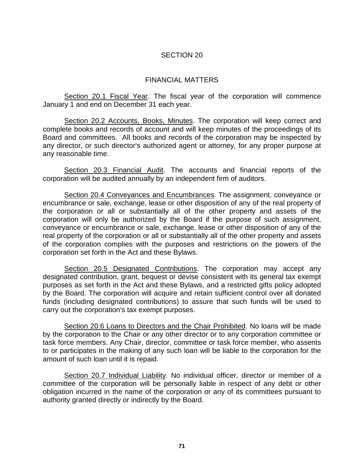## FINANCIAL MATTERS

Section 20.1 Fiscal Year. The fiscal year of the corporation will commence January 1 and end on December 31 each year.

Section 20.2 Accounts, Books, Minutes. The corporation will keep correct and complete books and records of account and will keep minutes of the proceedings of its Board and committees. All books and records of the corporation may be inspected by any director, or such director's authorized agent or attorney, for any proper purpose at any reasonable time.

Section 20.3 Financial Audit. The accounts and financial reports of the corporation will be audited annually by an independent firm of auditors.

Section 20.4 Conveyances and Encumbrances. The assignment, conveyance or encumbrance or sale, exchange, lease or other disposition of any of the real property of the corporation or all or substantially all of the other property and assets of the corporation will only be authorized by the Board if the purpose of such assignment, conveyance or encumbrance or sale, exchange, lease or other disposition of any of the real property of the corporation or all or substantially all of the other property and assets of the corporation complies with the purposes and restrictions on the powers of the corporation set forth in the Act and these Bylaws.

Section 20.5 Designated Contributions. The corporation may accept any designated contribution, grant, bequest or devise consistent with its general tax exempt purposes as set forth in the Act and these Bylaws, and a restricted gifts policy adopted by the Board. The corporation will acquire and retain sufficient control over all donated funds (including designated contributions) to assure that such funds will be used to carry out the corporation's tax exempt purposes.

Section 20.6 Loans to Directors and the Chair Prohibited. No loans will be made by the corporation to the Chair or any other director or to any corporation committee or task force members. Any Chair, director, committee or task force member, who assents to or participates in the making of any such loan will be liable to the corporation for the amount of such loan until it is repaid.

Section 20.7 Individual Liability. No individual officer, director or member of a committee of the corporation will be personally liable in respect of any debt or other obligation incurred in the name of the corporation or any of its committees pursuant to authority granted directly or indirectly by the Board.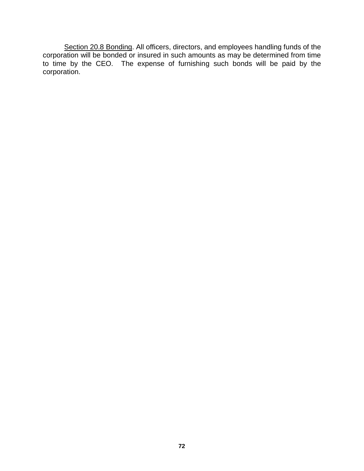Section 20.8 Bonding. All officers, directors, and employees handling funds of the corporation will be bonded or insured in such amounts as may be determined from time to time by the CEO. The expense of furnishing such bonds will be paid by the corporation.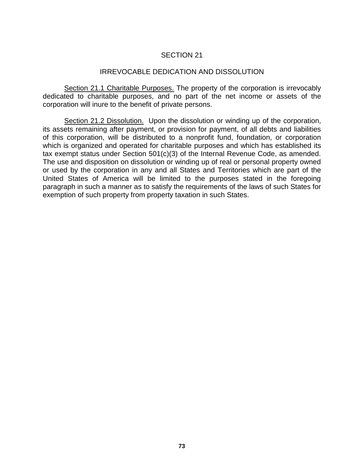# SECTION 21

### IRREVOCABLE DEDICATION AND DISSOLUTION

Section 21.1 Charitable Purposes. The property of the corporation is irrevocably dedicated to charitable purposes, and no part of the net income or assets of the corporation will inure to the benefit of private persons.

Section 21.2 Dissolution. Upon the dissolution or winding up of the corporation, its assets remaining after payment, or provision for payment, of all debts and liabilities of this corporation, will be distributed to a nonprofit fund, foundation, or corporation which is organized and operated for charitable purposes and which has established its tax exempt status under Section 501(c)(3) of the Internal Revenue Code, as amended. The use and disposition on dissolution or winding up of real or personal property owned or used by the corporation in any and all States and Territories which are part of the United States of America will be limited to the purposes stated in the foregoing paragraph in such a manner as to satisfy the requirements of the laws of such States for exemption of such property from property taxation in such States.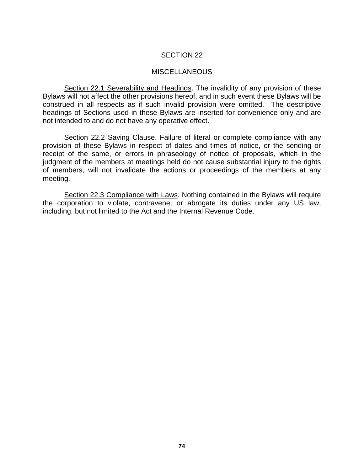### SECTION 22

#### MISCELLANEOUS

Section 22.1 Severability and Headings. The invalidity of any provision of these Bylaws will not affect the other provisions hereof, and in such event these Bylaws will be construed in all respects as if such invalid provision were omitted. The descriptive headings of Sections used in these Bylaws are inserted for convenience only and are not intended to and do not have any operative effect.

Section 22.2 Saving Clause. Failure of literal or complete compliance with any provision of these Bylaws in respect of dates and times of notice, or the sending or receipt of the same, or errors in phraseology of notice of proposals, which in the judgment of the members at meetings held do not cause substantial injury to the rights of members, will not invalidate the actions or proceedings of the members at any meeting.

Section 22.3 Compliance with Laws. Nothing contained in the Bylaws will require the corporation to violate, contravene, or abrogate its duties under any US law, including, but not limited to the Act and the Internal Revenue Code.